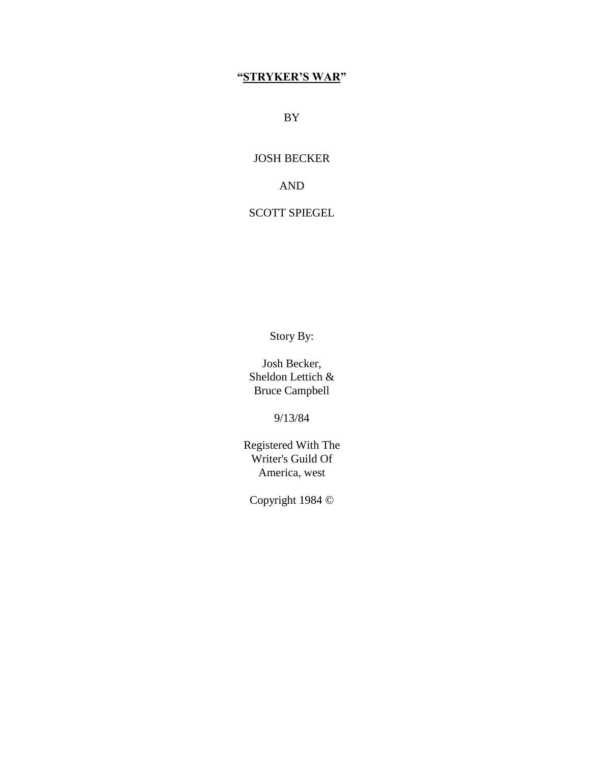# **"STRYKER'S WAR"**

BY

JOSH BECKER

AND

# SCOTT SPIEGEL

Story By:

Josh Becker, Sheldon Lettich & Bruce Campbell

9/13/84

Registered With The Writer's Guild Of America, west

Copyright 1984 ©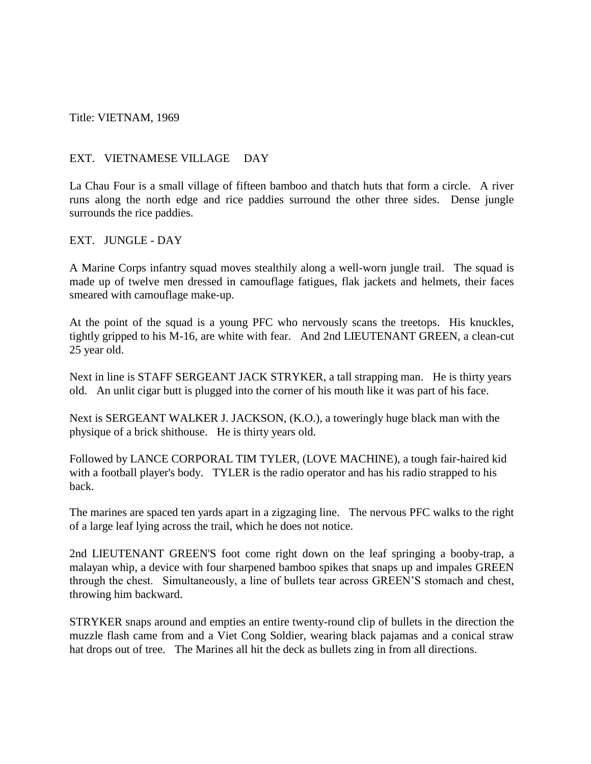Title: VIETNAM, 1969

## EXT. VIETNAMESE VILLAGE DAY

La Chau Four is a small village of fifteen bamboo and thatch huts that form a circle. A river runs along the north edge and rice paddies surround the other three sides. Dense jungle surrounds the rice paddies.

## EXT. JUNGLE - DAY

A Marine Corps infantry squad moves stealthily along a well-worn jungle trail. The squad is made up of twelve men dressed in camouflage fatigues, flak jackets and helmets, their faces smeared with camouflage make-up.

At the point of the squad is a young PFC who nervously scans the treetops. His knuckles, tightly gripped to his M-16, are white with fear. And 2nd LIEUTENANT GREEN, a clean-cut 25 year old.

Next in line is STAFF SERGEANT JACK STRYKER, a tall strapping man. He is thirty years old. An unlit cigar butt is plugged into the corner of his mouth like it was part of his face.

Next is SERGEANT WALKER J. JACKSON, (K.O.), a toweringly huge black man with the physique of a brick shithouse. He is thirty years old.

Followed by LANCE CORPORAL TIM TYLER, (LOVE MACHINE), a tough fair-haired kid with a football player's body. TYLER is the radio operator and has his radio strapped to his back.

The marines are spaced ten yards apart in a zigzaging line. The nervous PFC walks to the right of a large leaf lying across the trail, which he does not notice.

2nd LIEUTENANT GREEN'S foot come right down on the leaf springing a booby-trap, a malayan whip, a device with four sharpened bamboo spikes that snaps up and impales GREEN through the chest. Simultaneously, a line of bullets tear across GREEN'S stomach and chest, throwing him backward.

STRYKER snaps around and empties an entire twenty-round clip of bullets in the direction the muzzle flash came from and a Viet Cong Soldier, wearing black pajamas and a conical straw hat drops out of tree. The Marines all hit the deck as bullets zing in from all directions.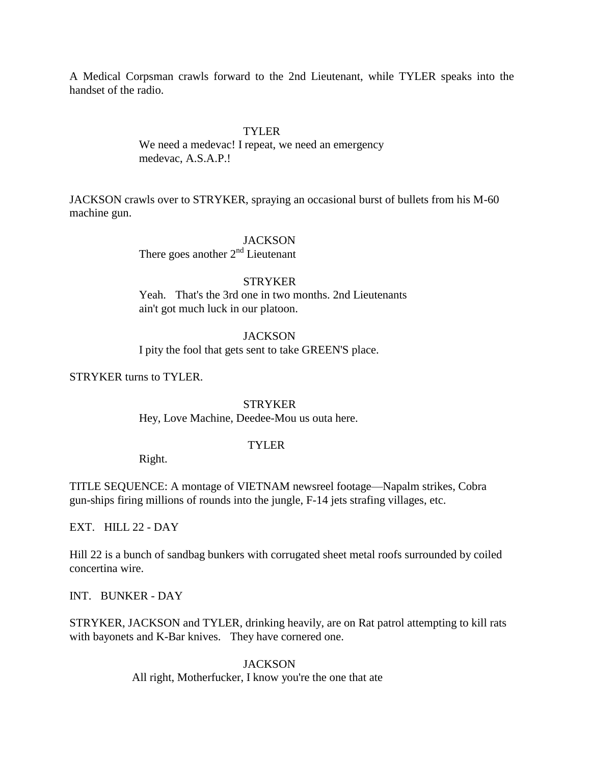A Medical Corpsman crawls forward to the 2nd Lieutenant, while TYLER speaks into the handset of the radio.

## TYLER

We need a medevac! I repeat, we need an emergency medevac, A.S.A.P.!

JACKSON crawls over to STRYKER, spraying an occasional burst of bullets from his M-60 machine gun.

### JACKSON

There goes another  $2<sup>nd</sup>$  Lieutenant

## **STRYKER**

Yeah. That's the 3rd one in two months. 2nd Lieutenants ain't got much luck in our platoon.

## **JACKSON**

I pity the fool that gets sent to take GREEN'S place.

STRYKER turns to TYLER.

## **STRYKER**

Hey, Love Machine, Deedee-Mou us outa here.

### TYLER

Right.

TITLE SEQUENCE: A montage of VIETNAM newsreel footage—Napalm strikes, Cobra gun-ships firing millions of rounds into the jungle, F-14 jets strafing villages, etc.

EXT. HILL 22 - DAY

Hill 22 is a bunch of sandbag bunkers with corrugated sheet metal roofs surrounded by coiled concertina wire.

INT. BUNKER - DAY

STRYKER, JACKSON and TYLER, drinking heavily, are on Rat patrol attempting to kill rats with bayonets and K-Bar knives. They have cornered one.

## **JACKSON**

All right, Motherfucker, I know you're the one that ate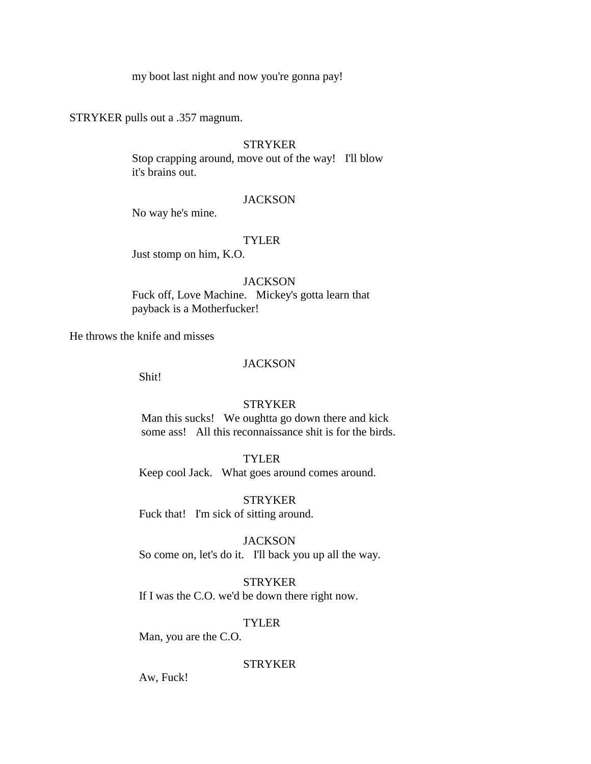my boot last night and now you're gonna pay!

STRYKER pulls out a .357 magnum.

## **STRYKER**

Stop crapping around, move out of the way! I'll blow it's brains out.

#### **JACKSON**

No way he's mine.

### TYLER

Just stomp on him, K.O.

### **JACKSON**

Fuck off, Love Machine. Mickey's gotta learn that payback is a Motherfucker!

He throws the knife and misses

## **JACKSON**

Shit!

### **STRYKER**

 Man this sucks! We oughtta go down there and kick some ass! All this reconnaissance shit is for the birds.

### TYLER

Keep cool Jack. What goes around comes around.

### **STRYKER**

Fuck that! I'm sick of sitting around.

## **JACKSON**

So come on, let's do it. I'll back you up all the way.

#### STRYKER

If I was the C.O. we'd be down there right now.

### TYLER

Man, you are the C.O.

## **STRYKER**

Aw, Fuck!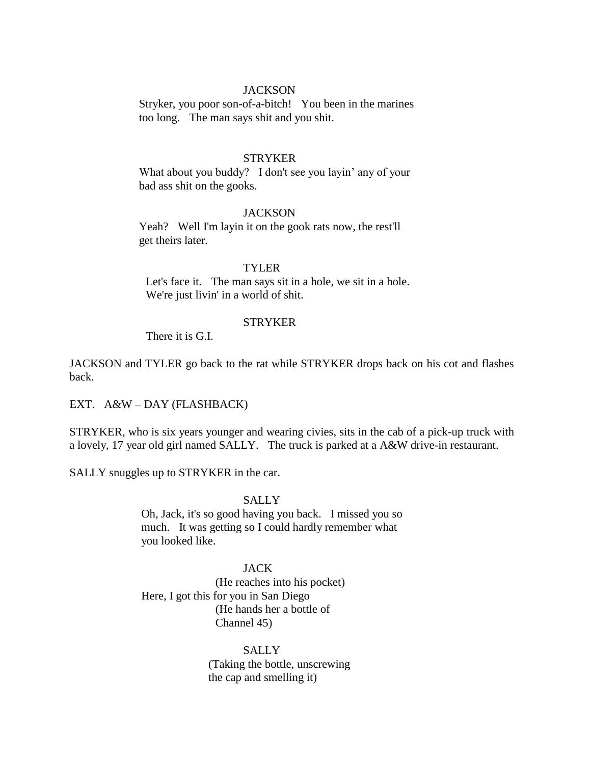## **JACKSON**

Stryker, you poor son-of-a-bitch! You been in the marines too long. The man says shit and you shit.

### **STRYKER**

What about you buddy? I don't see you layin' any of your bad ass shit on the gooks.

### **JACKSON**

Yeah? Well I'm layin it on the gook rats now, the rest'll get theirs later.

### TYLER

 Let's face it. The man says sit in a hole, we sit in a hole. We're just livin' in a world of shit.

#### STRYKER

There it is G.I.

JACKSON and TYLER go back to the rat while STRYKER drops back on his cot and flashes back.

EXT. A&W – DAY (FLASHBACK)

STRYKER, who is six years younger and wearing civies, sits in the cab of a pick-up truck with a lovely, 17 year old girl named SALLY. The truck is parked at a A&W drive-in restaurant.

SALLY snuggles up to STRYKER in the car.

## SALLY

 Oh, Jack, it's so good having you back. I missed you so much. It was getting so I could hardly remember what you looked like.

#### JACK

(He reaches into his pocket) Here, I got this for you in San Diego (He hands her a bottle of Channel 45)

# **SALLY**

(Taking the bottle, unscrewing the cap and smelling it)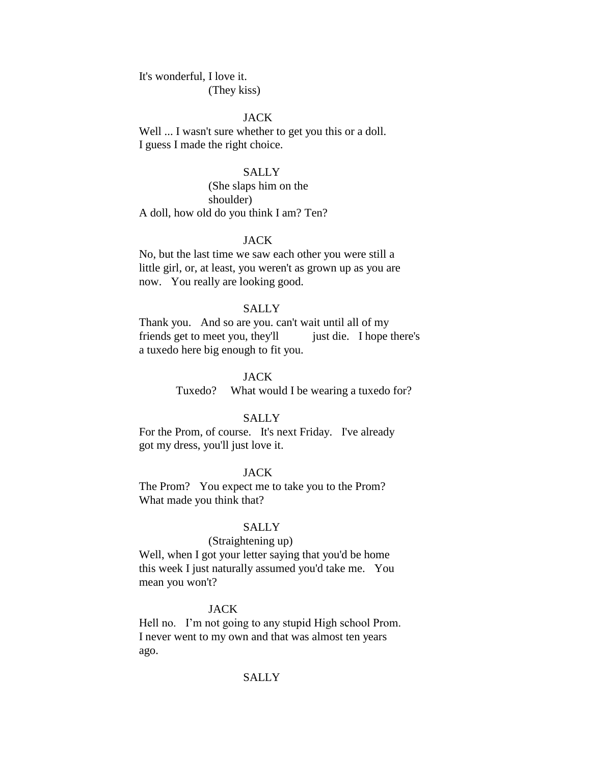It's wonderful, I love it. (They kiss)

### JACK

Well ... I wasn't sure whether to get you this or a doll. I guess I made the right choice.

### SALLY

(She slaps him on the shoulder) A doll, how old do you think I am? Ten?

### JACK

No, but the last time we saw each other you were still a little girl, or, at least, you weren't as grown up as you are now. You really are looking good.

#### **SALLY**

Thank you. And so are you. can't wait until all of my friends get to meet you, they'll just die. I hope there's a tuxedo here big enough to fit you.

## JACK

Tuxedo? What would I be wearing a tuxedo for?

#### SALLY

For the Prom, of course. It's next Friday. I've already got my dress, you'll just love it.

## JACK

The Prom? You expect me to take you to the Prom? What made you think that?

### **SALLY**

#### (Straightening up)

Well, when I got your letter saying that you'd be home this week I just naturally assumed you'd take me. You mean you won't?

#### **JACK**

Hell no. I'm not going to any stupid High school Prom. I never went to my own and that was almost ten years ago.

### SALLY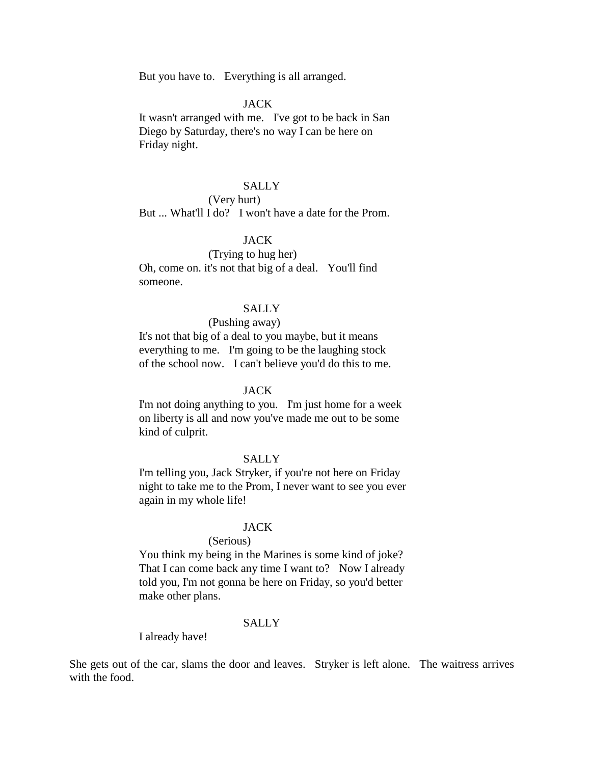But you have to. Everything is all arranged.

### JACK

It wasn't arranged with me. I've got to be back in San Diego by Saturday, there's no way I can be here on Friday night.

## SALLY

## (Very hurt)

But ... What'll I do? I won't have a date for the Prom.

## JACK

(Trying to hug her) Oh, come on. it's not that big of a deal. You'll find someone.

## **SALLY**

#### (Pushing away)

It's not that big of a deal to you maybe, but it means everything to me. I'm going to be the laughing stock of the school now. I can't believe you'd do this to me.

#### JACK

I'm not doing anything to you. I'm just home for a week on liberty is all and now you've made me out to be some kind of culprit.

### SALLY

I'm telling you, Jack Stryker, if you're not here on Friday night to take me to the Prom, I never want to see you ever again in my whole life!

### JACK

## (Serious)

You think my being in the Marines is some kind of joke? That I can come back any time I want to? Now I already told you, I'm not gonna be here on Friday, so you'd better make other plans.

### **SALLY**

I already have!

She gets out of the car, slams the door and leaves. Stryker is left alone. The waitress arrives with the food.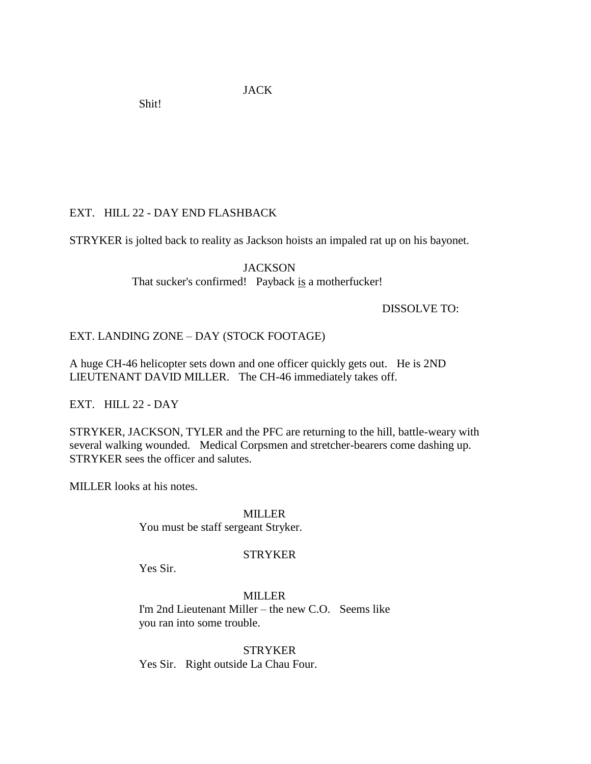JACK

Shit!

# EXT. HILL 22 - DAY END FLASHBACK

STRYKER is jolted back to reality as Jackson hoists an impaled rat up on his bayonet.

**JACKSON** That sucker's confirmed! Payback is a motherfucker!

DISSOLVE TO:

# EXT. LANDING ZONE – DAY (STOCK FOOTAGE)

A huge CH-46 helicopter sets down and one officer quickly gets out. He is 2ND LIEUTENANT DAVID MILLER. The CH-46 immediately takes off.

EXT. HILL 22 - DAY

STRYKER, JACKSON, TYLER and the PFC are returning to the hill, battle-weary with several walking wounded. Medical Corpsmen and stretcher-bearers come dashing up. STRYKER sees the officer and salutes.

MILLER looks at his notes.

MILLER

You must be staff sergeant Stryker.

## **STRYKER**

Yes Sir.

MILLER I'm 2nd Lieutenant Miller – the new C.O. Seems like you ran into some trouble.

**STRYKER** Yes Sir. Right outside La Chau Four.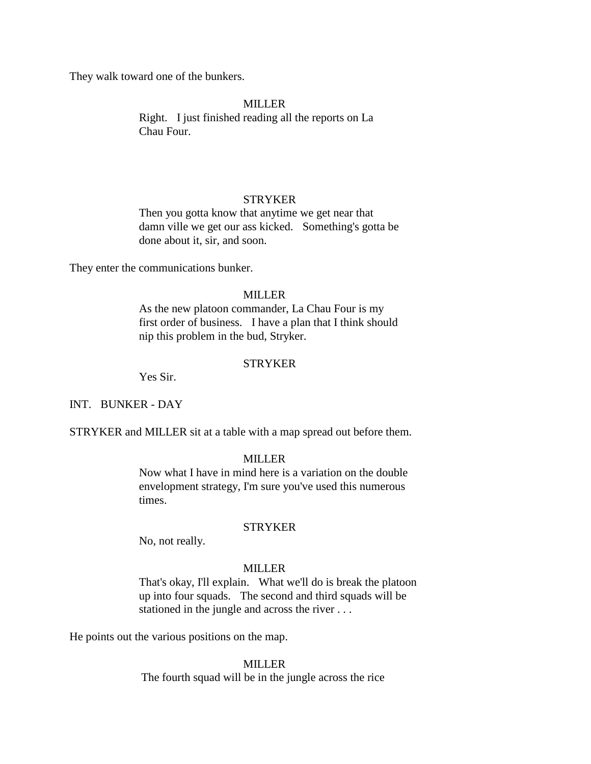They walk toward one of the bunkers.

### MILLER

Right. I just finished reading all the reports on La Chau Four.

## STRYKER

Then you gotta know that anytime we get near that damn ville we get our ass kicked. Something's gotta be done about it, sir, and soon.

They enter the communications bunker.

## MILLER

As the new platoon commander, La Chau Four is my first order of business. I have a plan that I think should nip this problem in the bud, Stryker.

### STRYKER

Yes Sir.

## INT. BUNKER - DAY

STRYKER and MILLER sit at a table with a map spread out before them.

## **MILLER**

Now what I have in mind here is a variation on the double envelopment strategy, I'm sure you've used this numerous times.

## **STRYKER**

No, not really.

### MILLER

That's okay, I'll explain. What we'll do is break the platoon up into four squads. The second and third squads will be stationed in the jungle and across the river . . .

He points out the various positions on the map.

#### MILLER

The fourth squad will be in the jungle across the rice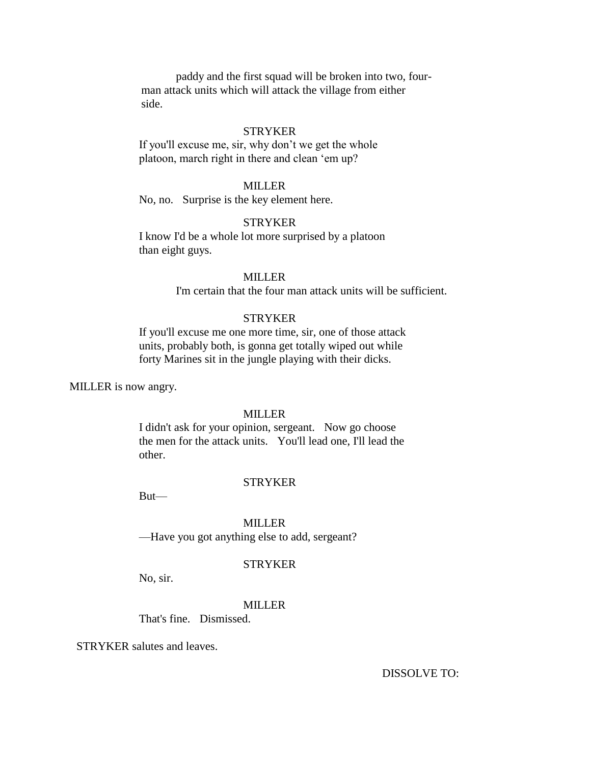paddy and the first squad will be broken into two, four man attack units which will attack the village from either side.

#### STRYKER

If you'll excuse me, sir, why don't we get the whole platoon, march right in there and clean 'em up?

## MILLER

No, no. Surprise is the key element here.

### **STRYKER**

I know I'd be a whole lot more surprised by a platoon than eight guys.

## MILLER

I'm certain that the four man attack units will be sufficient.

### **STRYKER**

If you'll excuse me one more time, sir, one of those attack units, probably both, is gonna get totally wiped out while forty Marines sit in the jungle playing with their dicks.

MILLER is now angry.

## MILLER

I didn't ask for your opinion, sergeant. Now go choose the men for the attack units. You'll lead one, I'll lead the other.

### **STRYKER**

But—

#### MILLER

—Have you got anything else to add, sergeant?

## **STRYKER**

No, sir.

## MILLER

That's fine. Dismissed.

STRYKER salutes and leaves.

DISSOLVE TO: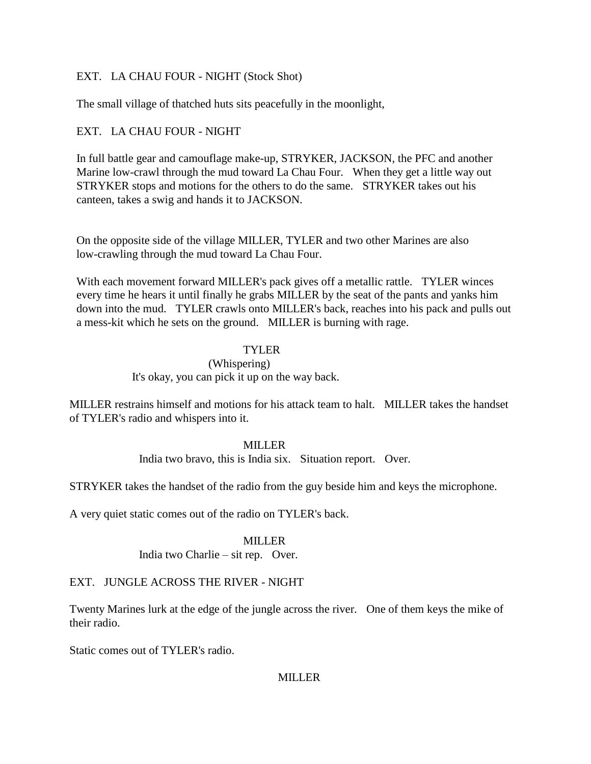# EXT. LA CHAU FOUR - NIGHT (Stock Shot)

The small village of thatched huts sits peacefully in the moonlight,

# EXT. LA CHAU FOUR - NIGHT

In full battle gear and camouflage make-up, STRYKER, JACKSON, the PFC and another Marine low-crawl through the mud toward La Chau Four. When they get a little way out STRYKER stops and motions for the others to do the same. STRYKER takes out his canteen, takes a swig and hands it to JACKSON.

On the opposite side of the village MILLER, TYLER and two other Marines are also low-crawling through the mud toward La Chau Four.

With each movement forward MILLER's pack gives off a metallic rattle. TYLER winces every time he hears it until finally he grabs MILLER by the seat of the pants and yanks him down into the mud. TYLER crawls onto MILLER's back, reaches into his pack and pulls out a mess-kit which he sets on the ground. MILLER is burning with rage.

## TYLER

(Whispering) It's okay, you can pick it up on the way back.

MILLER restrains himself and motions for his attack team to halt. MILLER takes the handset of TYLER's radio and whispers into it.

## **MILLER**

India two bravo, this is India six. Situation report. Over.

STRYKER takes the handset of the radio from the guy beside him and keys the microphone.

A very quiet static comes out of the radio on TYLER's back.

## MILLER

India two Charlie – sit rep. Over.

## EXT. JUNGLE ACROSS THE RIVER - NIGHT

Twenty Marines lurk at the edge of the jungle across the river. One of them keys the mike of their radio.

Static comes out of TYLER's radio.

## **MILLER**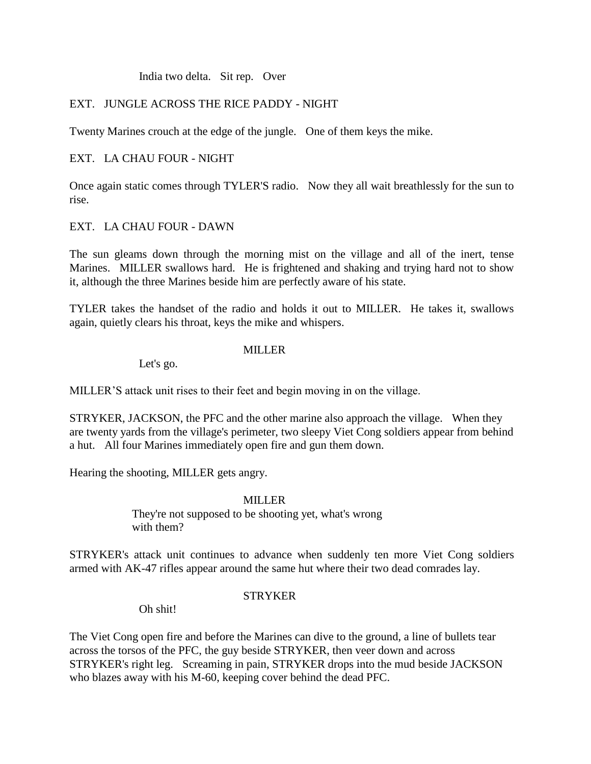## India two delta. Sit rep. Over

## EXT. JUNGLE ACROSS THE RICE PADDY - NIGHT

Twenty Marines crouch at the edge of the jungle. One of them keys the mike.

## EXT. LA CHAU FOUR - NIGHT

Once again static comes through TYLER'S radio. Now they all wait breathlessly for the sun to rise.

## EXT. LA CHAU FOUR - DAWN

The sun gleams down through the morning mist on the village and all of the inert, tense Marines. MILLER swallows hard. He is frightened and shaking and trying hard not to show it, although the three Marines beside him are perfectly aware of his state.

TYLER takes the handset of the radio and holds it out to MILLER. He takes it, swallows again, quietly clears his throat, keys the mike and whispers.

## MILLER

Let's go.

MILLER'S attack unit rises to their feet and begin moving in on the village.

STRYKER, JACKSON, the PFC and the other marine also approach the village. When they are twenty yards from the village's perimeter, two sleepy Viet Cong soldiers appear from behind a hut. All four Marines immediately open fire and gun them down.

Hearing the shooting, MILLER gets angry.

## MILLER

They're not supposed to be shooting yet, what's wrong with them?

STRYKER's attack unit continues to advance when suddenly ten more Viet Cong soldiers armed with AK-47 rifles appear around the same hut where their two dead comrades lay.

# STRYKER

Oh shit!

The Viet Cong open fire and before the Marines can dive to the ground, a line of bullets tear across the torsos of the PFC, the guy beside STRYKER, then veer down and across STRYKER's right leg. Screaming in pain, STRYKER drops into the mud beside JACKSON who blazes away with his M-60, keeping cover behind the dead PFC.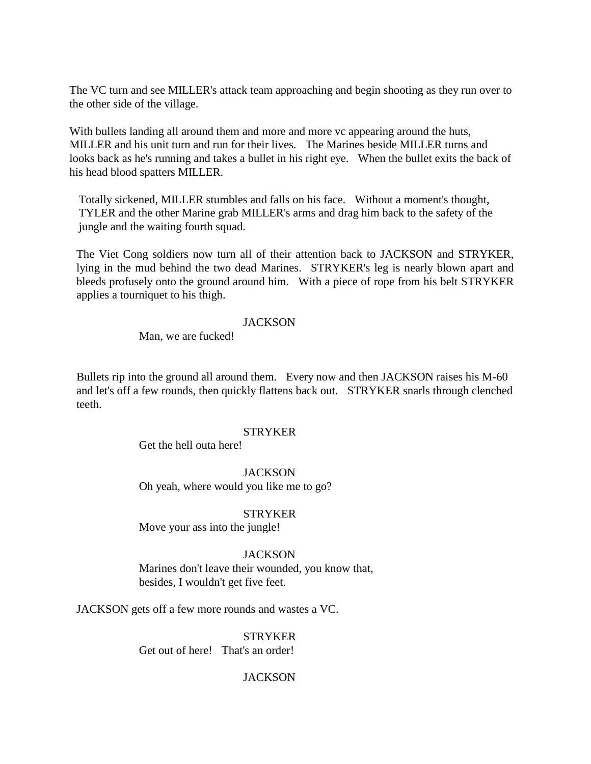The VC turn and see MILLER's attack team approaching and begin shooting as they run over to the other side of the village.

With bullets landing all around them and more and more vc appearing around the huts, MILLER and his unit turn and run for their lives. The Marines beside MILLER turns and looks back as he's running and takes a bullet in his right eye. When the bullet exits the back of his head blood spatters MILLER.

 Totally sickened, MILLER stumbles and falls on his face. Without a moment's thought, TYLER and the other Marine grab MILLER's arms and drag him back to the safety of the jungle and the waiting fourth squad.

The Viet Cong soldiers now turn all of their attention back to JACKSON and STRYKER, lying in the mud behind the two dead Marines. STRYKER's leg is nearly blown apart and bleeds profusely onto the ground around him. With a piece of rope from his belt STRYKER applies a tourniquet to his thigh.

### **JACKSON**

Man, we are fucked!

Bullets rip into the ground all around them. Every now and then JACKSON raises his M-60 and let's off a few rounds, then quickly flattens back out. STRYKER snarls through clenched teeth.

## **STRYKER**

Get the hell outa here!

## **JACKSON**

Oh yeah, where would you like me to go?

#### **STRYKER**

Move your ass into the jungle!

## **JACKSON**

Marines don't leave their wounded, you know that, besides, I wouldn't get five feet.

JACKSON gets off a few more rounds and wastes a VC.

**STRYKER** Get out of here! That's an order!

## **JACKSON**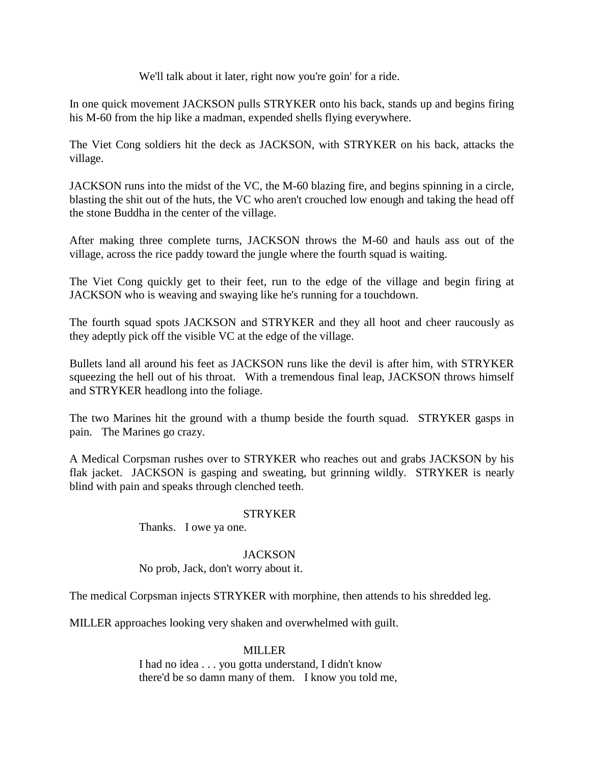We'll talk about it later, right now you're goin' for a ride.

In one quick movement JACKSON pulls STRYKER onto his back, stands up and begins firing his M-60 from the hip like a madman, expended shells flying everywhere.

The Viet Cong soldiers hit the deck as JACKSON, with STRYKER on his back, attacks the village.

JACKSON runs into the midst of the VC, the M-60 blazing fire, and begins spinning in a circle, blasting the shit out of the huts, the VC who aren't crouched low enough and taking the head off the stone Buddha in the center of the village.

After making three complete turns, JACKSON throws the M-60 and hauls ass out of the village, across the rice paddy toward the jungle where the fourth squad is waiting.

The Viet Cong quickly get to their feet, run to the edge of the village and begin firing at JACKSON who is weaving and swaying like he's running for a touchdown.

The fourth squad spots JACKSON and STRYKER and they all hoot and cheer raucously as they adeptly pick off the visible VC at the edge of the village.

Bullets land all around his feet as JACKSON runs like the devil is after him, with STRYKER squeezing the hell out of his throat. With a tremendous final leap, JACKSON throws himself and STRYKER headlong into the foliage.

The two Marines hit the ground with a thump beside the fourth squad. STRYKER gasps in pain. The Marines go crazy.

A Medical Corpsman rushes over to STRYKER who reaches out and grabs JACKSON by his flak jacket. JACKSON is gasping and sweating, but grinning wildly. STRYKER is nearly blind with pain and speaks through clenched teeth.

## **STRYKER**

Thanks. I owe ya one.

## **JACKSON**

No prob, Jack, don't worry about it.

The medical Corpsman injects STRYKER with morphine, then attends to his shredded leg.

MILLER approaches looking very shaken and overwhelmed with guilt.

## MILLER

I had no idea . . . you gotta understand, I didn't know there'd be so damn many of them. I know you told me,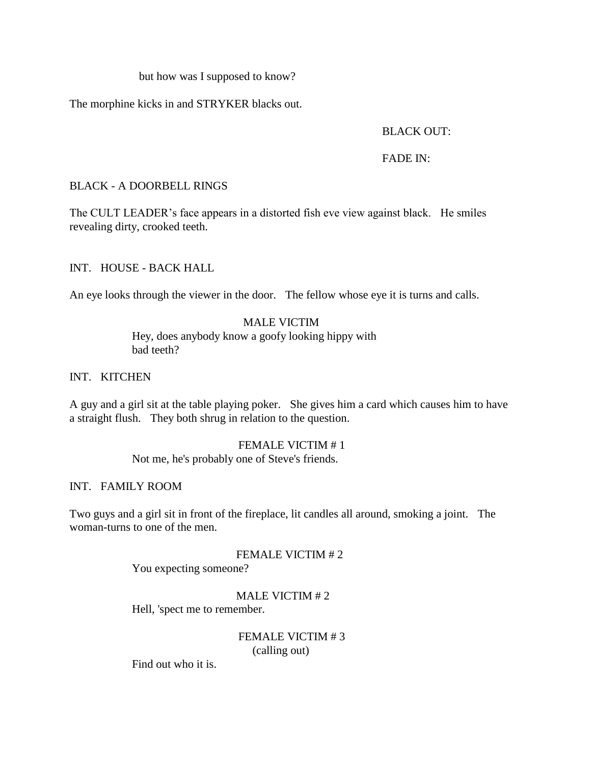but how was I supposed to know?

The morphine kicks in and STRYKER blacks out.

# BLACK OUT:

FADE IN:

BLACK - A DOORBELL RINGS

The CULT LEADER's face appears in a distorted fish eve view against black. He smiles revealing dirty, crooked teeth.

INT. HOUSE - BACK HALL

An eye looks through the viewer in the door. The fellow whose eye it is turns and calls.

# MALE VICTIM

Hey, does anybody know a goofy looking hippy with bad teeth?

INT. KITCHEN

A guy and a girl sit at the table playing poker. She gives him a card which causes him to have a straight flush. They both shrug in relation to the question.

## FEMALE VICTIM # 1

Not me, he's probably one of Steve's friends.

## INT. FAMILY ROOM

Two guys and a girl sit in front of the fireplace, lit candles all around, smoking a joint. The woman-turns to one of the men.

# FEMALE VICTIM # 2

You expecting someone?

MALE VICTIM # 2

Hell, 'spect me to remember.

FEMALE VICTIM # 3 (calling out)

Find out who it is.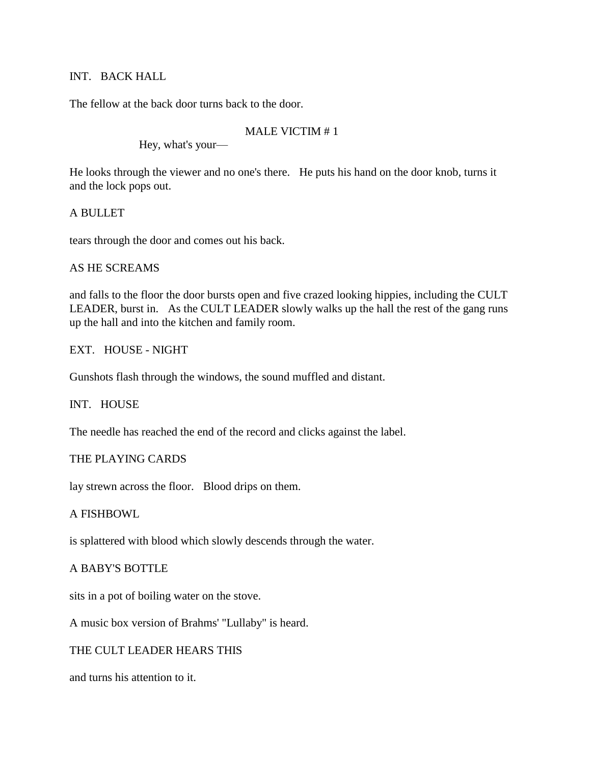## INT. BACK HALL

The fellow at the back door turns back to the door.

# MALE VICTIM # 1

Hey, what's your—

He looks through the viewer and no one's there. He puts his hand on the door knob, turns it and the lock pops out.

A BULLET

tears through the door and comes out his back.

# AS HE SCREAMS

and falls to the floor the door bursts open and five crazed looking hippies, including the CULT LEADER, burst in. As the CULT LEADER slowly walks up the hall the rest of the gang runs up the hall and into the kitchen and family room.

# EXT. HOUSE - NIGHT

Gunshots flash through the windows, the sound muffled and distant.

INT. HOUSE

The needle has reached the end of the record and clicks against the label.

# THE PLAYING CARDS

lay strewn across the floor. Blood drips on them.

## A FISHBOWL

is splattered with blood which slowly descends through the water.

# A BABY'S BOTTLE

sits in a pot of boiling water on the stove.

A music box version of Brahms' "Lullaby" is heard.

# THE CULT LEADER HEARS THIS

and turns his attention to it.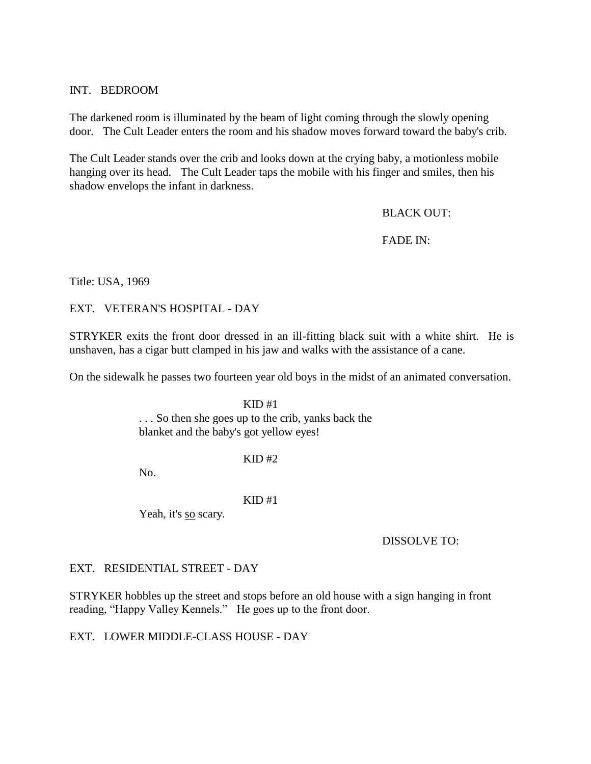## INT. BEDROOM

The darkened room is illuminated by the beam of light coming through the slowly opening door. The Cult Leader enters the room and his shadow moves forward toward the baby's crib.

The Cult Leader stands over the crib and looks down at the crying baby, a motionless mobile hanging over its head. The Cult Leader taps the mobile with his finger and smiles, then his shadow envelops the infant in darkness.

## BLACK OUT:

## FADE IN:

Title: USA, 1969

EXT. VETERAN'S HOSPITAL - DAY

STRYKER exits the front door dressed in an ill-fitting black suit with a white shirt. He is unshaven, has a cigar butt clamped in his jaw and walks with the assistance of a cane.

On the sidewalk he passes two fourteen year old boys in the midst of an animated conversation.

 $KID#1$ . . . So then she goes up to the crib, yanks back the blanket and the baby's got yellow eyes!

 $KID$ #2

No.

## $KID#1$

Yeah, it's so scary.

DISSOLVE TO:

## EXT. RESIDENTIAL STREET - DAY

STRYKER hobbles up the street and stops before an old house with a sign hanging in front reading, "Happy Valley Kennels." He goes up to the front door.

EXT. LOWER MIDDLE-CLASS HOUSE - DAY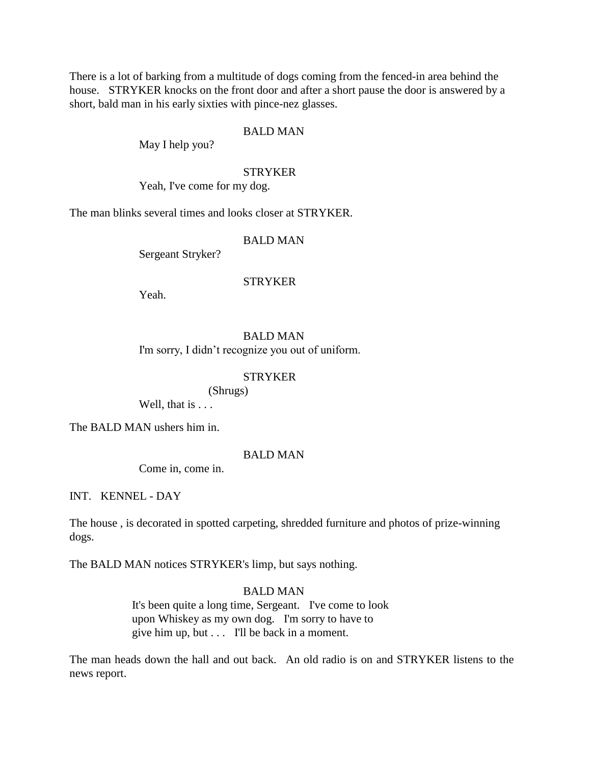There is a lot of barking from a multitude of dogs coming from the fenced-in area behind the house. STRYKER knocks on the front door and after a short pause the door is answered by a short, bald man in his early sixties with pince-nez glasses.

#### BALD MAN

May I help you?

### **STRYKER**

Yeah, I've come for my dog.

The man blinks several times and looks closer at STRYKER.

## BALD MAN

Sergeant Stryker?

### **STRYKER**

Yeah.

## BALD MAN

I'm sorry, I didn't recognize you out of uniform.

## **STRYKER**

(Shrugs)

Well, that is . . .

The BALD MAN ushers him in.

#### BALD MAN

Come in, come in.

INT. KENNEL - DAY

The house , is decorated in spotted carpeting, shredded furniture and photos of prize-winning dogs.

The BALD MAN notices STRYKER's limp, but says nothing.

## BALD MAN

It's been quite a long time, Sergeant. I've come to look upon Whiskey as my own dog. I'm sorry to have to give him up, but  $\ldots$  I'll be back in a moment.

The man heads down the hall and out back. An old radio is on and STRYKER listens to the news report.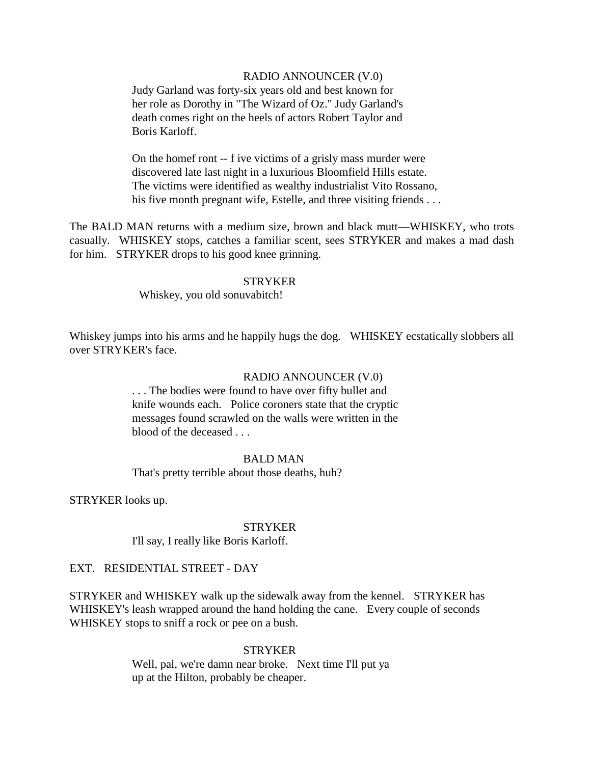### RADIO ANNOUNCER (V.0)

Judy Garland was forty-six years old and best known for her role as Dorothy in "The Wizard of Oz." Judy Garland's death comes right on the heels of actors Robert Taylor and Boris Karloff.

On the homef ront -- f ive victims of a grisly mass murder were discovered late last night in a luxurious Bloomfield Hills estate. The victims were identified as wealthy industrialist Vito Rossano, his five month pregnant wife, Estelle, and three visiting friends . . .

The BALD MAN returns with a medium size, brown and black mutt—WHISKEY, who trots casually. WHISKEY stops, catches a familiar scent, sees STRYKER and makes a mad dash for him. STRYKER drops to his good knee grinning.

### **STRYKER**

Whiskey, you old sonuvabitch!

Whiskey jumps into his arms and he happily hugs the dog. WHISKEY ecstatically slobbers all over STRYKER's face.

## RADIO ANNOUNCER (V.0)

. . . The bodies were found to have over fifty bullet and knife wounds each. Police coroners state that the cryptic messages found scrawled on the walls were written in the blood of the deceased . . .

#### BALD MAN

That's pretty terrible about those deaths, huh?

STRYKER looks up.

#### **STRYKER**

I'll say, I really like Boris Karloff.

## EXT. RESIDENTIAL STREET - DAY

STRYKER and WHISKEY walk up the sidewalk away from the kennel. STRYKER has WHISKEY's leash wrapped around the hand holding the cane. Every couple of seconds WHISKEY stops to sniff a rock or pee on a bush.

#### **STRYKER**

Well, pal, we're damn near broke. Next time I'll put ya up at the Hilton, probably be cheaper.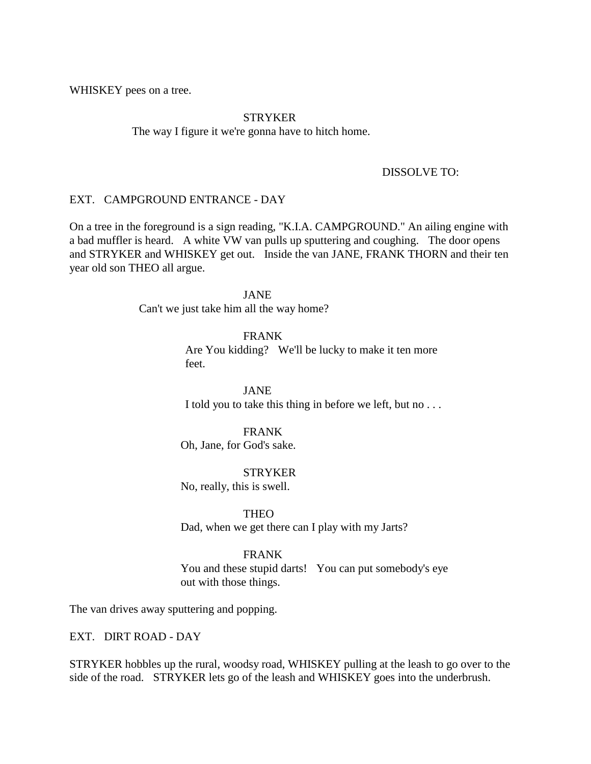WHISKEY pees on a tree.

### STRYKER

The way I figure it we're gonna have to hitch home.

## DISSOLVE TO:

### EXT. CAMPGROUND ENTRANCE - DAY

On a tree in the foreground is a sign reading, "K.I.A. CAMPGROUND." An ailing engine with a bad muffler is heard. A white VW van pulls up sputtering and coughing. The door opens and STRYKER and WHISKEY get out. Inside the van JANE, FRANK THORN and their ten year old son THEO all argue.

JANE

Can't we just take him all the way home?

FRANK Are You kidding? We'll be lucky to make it ten more feet.

JANE I told you to take this thing in before we left, but no . . .

## FRANK

Oh, Jane, for God's sake.

**STRYKER** 

No, really, this is swell.

**THEO** 

Dad, when we get there can I play with my Jarts?

## FRANK

 You and these stupid darts! You can put somebody's eye out with those things.

The van drives away sputtering and popping.

EXT. DIRT ROAD - DAY

STRYKER hobbles up the rural, woodsy road, WHISKEY pulling at the leash to go over to the side of the road. STRYKER lets go of the leash and WHISKEY goes into the underbrush.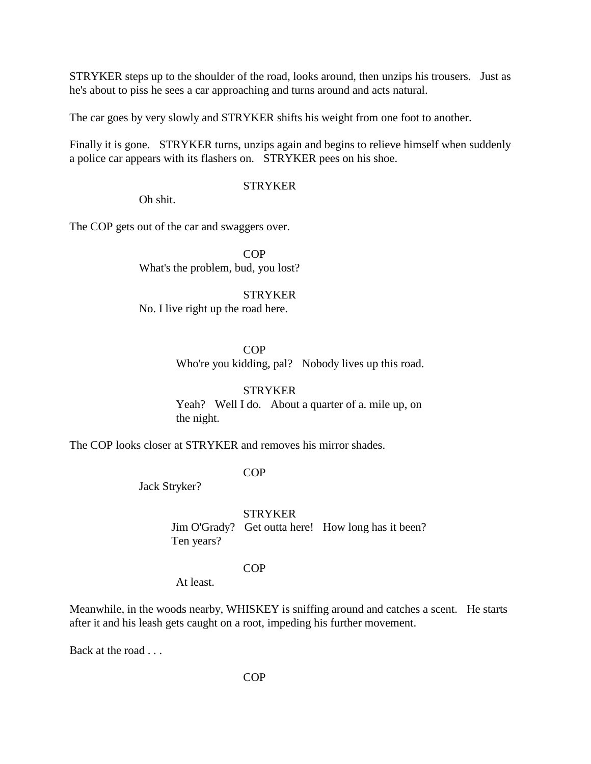STRYKER steps up to the shoulder of the road, looks around, then unzips his trousers. Just as he's about to piss he sees a car approaching and turns around and acts natural.

The car goes by very slowly and STRYKER shifts his weight from one foot to another.

Finally it is gone. STRYKER turns, unzips again and begins to relieve himself when suddenly a police car appears with its flashers on. STRYKER pees on his shoe.

## STRYKER

Oh shit.

The COP gets out of the car and swaggers over.

COP What's the problem, bud, you lost?

### STRYKER

No. I live right up the road here.

**COP** Who're you kidding, pal? Nobody lives up this road.

**STRYKER**  Yeah? Well I do. About a quarter of a. mile up, on the night.

The COP looks closer at STRYKER and removes his mirror shades.

## COP

Jack Stryker?

**STRYKER** 

 Jim O'Grady? Get outta here! How long has it been? Ten years?

## COP

At least.

Meanwhile, in the woods nearby, WHISKEY is sniffing around and catches a scent. He starts after it and his leash gets caught on a root, impeding his further movement.

Back at the road . . .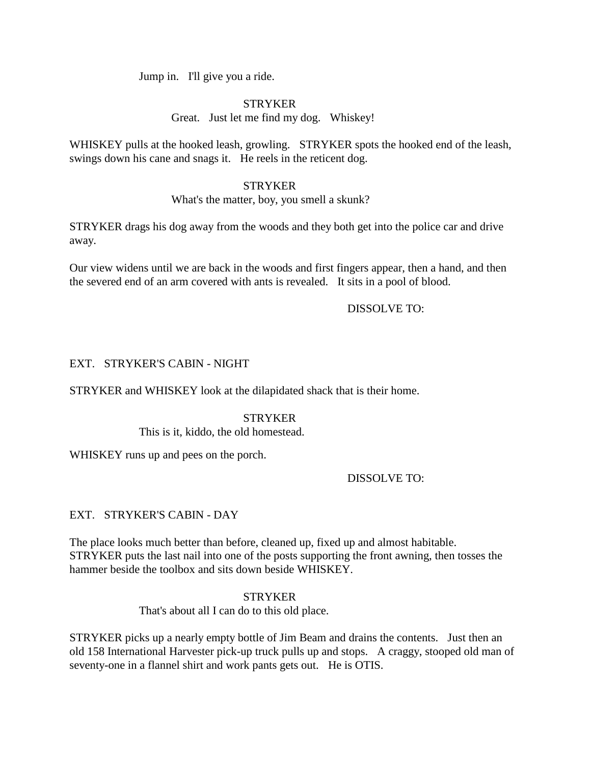Jump in. I'll give you a ride.

# **STRYKER**

Great. Just let me find my dog. Whiskey!

WHISKEY pulls at the hooked leash, growling. STRYKER spots the hooked end of the leash, swings down his cane and snags it. He reels in the reticent dog.

## **STRYKER**

What's the matter, boy, you smell a skunk?

STRYKER drags his dog away from the woods and they both get into the police car and drive away.

Our view widens until we are back in the woods and first fingers appear, then a hand, and then the severed end of an arm covered with ants is revealed. It sits in a pool of blood.

# DISSOLVE TO:

# EXT. STRYKER'S CABIN - NIGHT

STRYKER and WHISKEY look at the dilapidated shack that is their home.

## **STRYKER**

This is it, kiddo, the old homestead.

WHISKEY runs up and pees on the porch.

# DISSOLVE TO:

# EXT. STRYKER'S CABIN - DAY

The place looks much better than before, cleaned up, fixed up and almost habitable. STRYKER puts the last nail into one of the posts supporting the front awning, then tosses the hammer beside the toolbox and sits down beside WHISKEY.

> **STRYKER** That's about all I can do to this old place.

STRYKER picks up a nearly empty bottle of Jim Beam and drains the contents. Just then an old 158 International Harvester pick-up truck pulls up and stops. A craggy, stooped old man of seventy-one in a flannel shirt and work pants gets out. He is OTIS.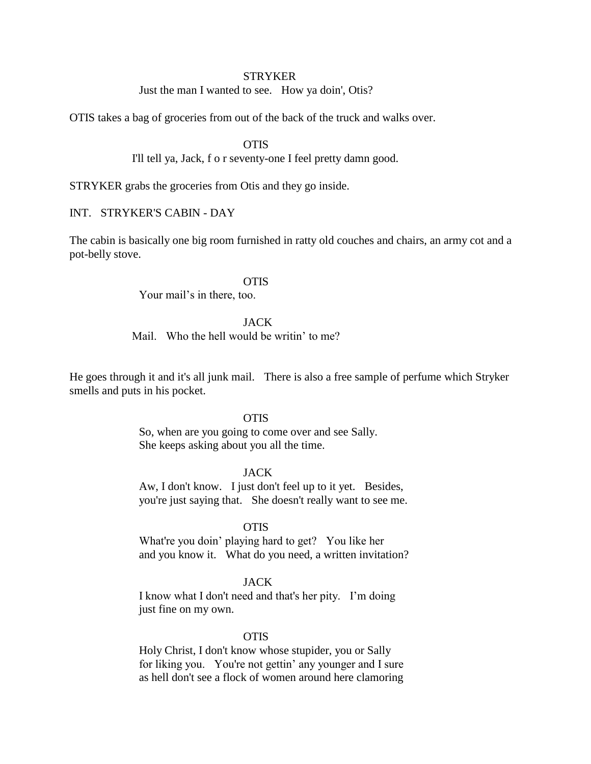#### **STRYKER**

Just the man I wanted to see. How ya doin', Otis?

OTIS takes a bag of groceries from out of the back of the truck and walks over.

## **OTIS**

I'll tell ya, Jack, f o r seventy-one I feel pretty damn good.

STRYKER grabs the groceries from Otis and they go inside.

## INT. STRYKER'S CABIN - DAY

The cabin is basically one big room furnished in ratty old couches and chairs, an army cot and a pot-belly stove.

## **OTIS**

Your mail's in there, too.

### JACK

Mail. Who the hell would be writin' to me?

He goes through it and it's all junk mail. There is also a free sample of perfume which Stryker smells and puts in his pocket.

#### **OTIS**

So, when are you going to come over and see Sally. She keeps asking about you all the time.

### JACK

Aw, I don't know. I just don't feel up to it yet. Besides, you're just saying that. She doesn't really want to see me.

### **OTIS**

What're you doin' playing hard to get? You like her and you know it. What do you need, a written invitation?

### JACK

I know what I don't need and that's her pity. I'm doing just fine on my own.

## **OTIS**

Holy Christ, I don't know whose stupider, you or Sally for liking you. You're not gettin' any younger and I sure as hell don't see a flock of women around here clamoring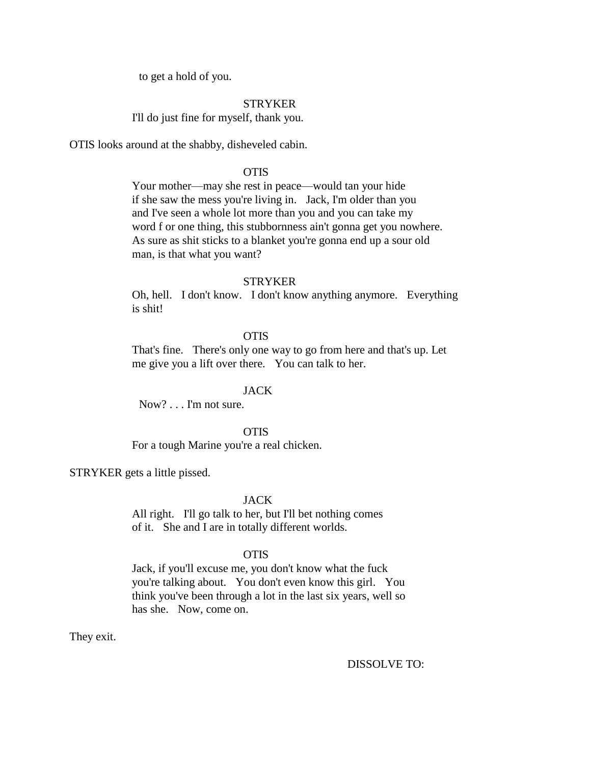to get a hold of you.

#### STRYKER

I'll do just fine for myself, thank you.

OTIS looks around at the shabby, disheveled cabin.

## **OTIS**

Your mother—may she rest in peace—would tan your hide if she saw the mess you're living in. Jack, I'm older than you and I've seen a whole lot more than you and you can take my word f or one thing, this stubbornness ain't gonna get you nowhere. As sure as shit sticks to a blanket you're gonna end up a sour old man, is that what you want?

#### **STRYKER**

Oh, hell. I don't know. I don't know anything anymore. Everything is shit!

## **OTIS**

That's fine. There's only one way to go from here and that's up. Let me give you a lift over there. You can talk to her.

### JACK

Now? . . . I'm not sure.

**OTIS** 

For a tough Marine you're a real chicken.

STRYKER gets a little pissed.

### JACK

All right. I'll go talk to her, but I'll bet nothing comes of it. She and I are in totally different worlds.

## **OTIS**

Jack, if you'll excuse me, you don't know what the fuck you're talking about. You don't even know this girl. You think you've been through a lot in the last six years, well so has she. Now, come on.

They exit.

DISSOLVE TO: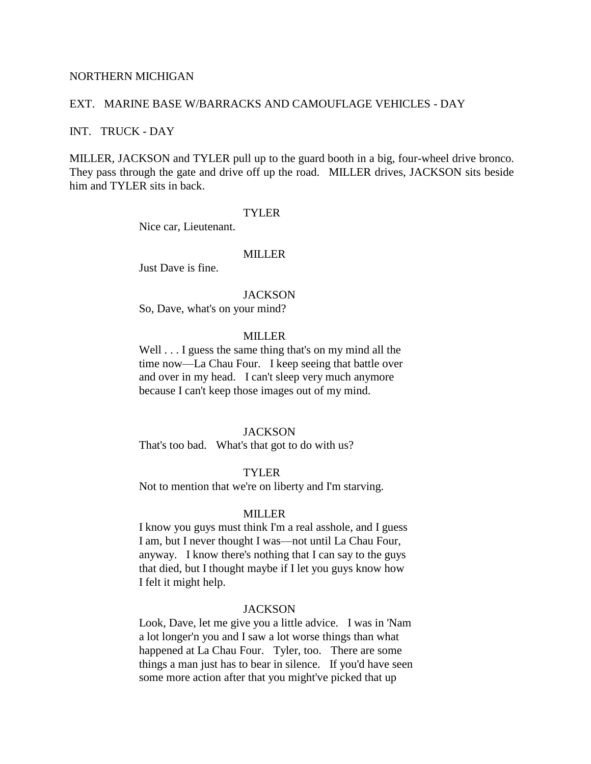### NORTHERN MICHIGAN

### EXT. MARINE BASE W/BARRACKS AND CAMOUFLAGE VEHICLES - DAY

#### INT. TRUCK - DAY

MILLER, JACKSON and TYLER pull up to the guard booth in a big, four-wheel drive bronco. They pass through the gate and drive off up the road. MILLER drives, JACKSON sits beside him and TYLER sits in back.

## TYLER

Nice car, Lieutenant.

## MILLER

Just Dave is fine.

#### **JACKSON**

So, Dave, what's on your mind?

## **MILLER**

Well . . . I guess the same thing that's on my mind all the time now—La Chau Four. I keep seeing that battle over and over in my head. I can't sleep very much anymore because I can't keep those images out of my mind.

### **JACKSON**

That's too bad. What's that got to do with us?

## TYLER

Not to mention that we're on liberty and I'm starving.

#### MILLER

I know you guys must think I'm a real asshole, and I guess I am, but I never thought I was—not until La Chau Four, anyway. I know there's nothing that I can say to the guys that died, but I thought maybe if I let you guys know how I felt it might help.

#### **JACKSON**

Look, Dave, let me give you a little advice. I was in 'Nam a lot longer'n you and I saw a lot worse things than what happened at La Chau Four. Tyler, too. There are some things a man just has to bear in silence. If you'd have seen some more action after that you might've picked that up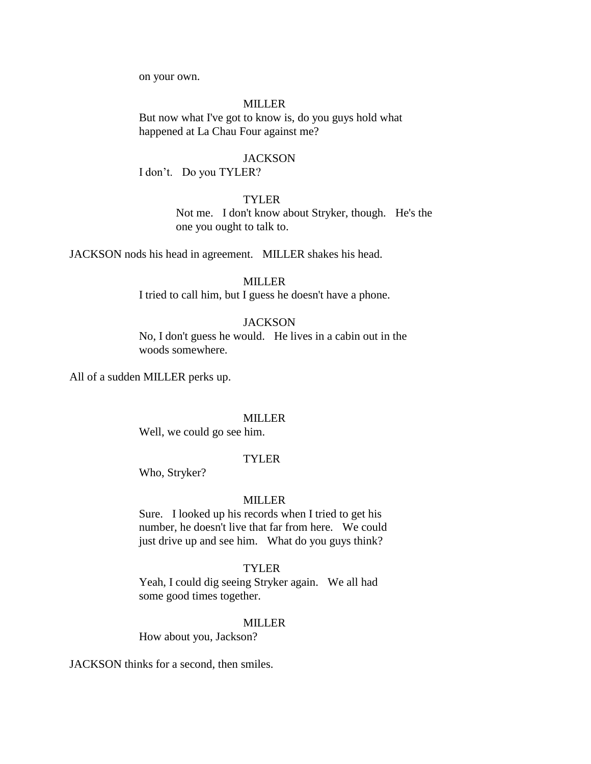on your own.

## MILLER

But now what I've got to know is, do you guys hold what happened at La Chau Four against me?

#### **JACKSON**

I don't. Do you TYLER?

## TYLER

 Not me. I don't know about Stryker, though. He's the one you ought to talk to.

JACKSON nods his head in agreement. MILLER shakes his head.

## MILLER

I tried to call him, but I guess he doesn't have a phone.

### **JACKSON**

No, I don't guess he would. He lives in a cabin out in the woods somewhere.

All of a sudden MILLER perks up.

#### MILLER

Well, we could go see him.

## **TYLER**

Who, Stryker?

## MILLER

Sure. I looked up his records when I tried to get his number, he doesn't live that far from here. We could just drive up and see him. What do you guys think?

### TYLER

Yeah, I could dig seeing Stryker again. We all had some good times together.

### MILLER

How about you, Jackson?

JACKSON thinks for a second, then smiles.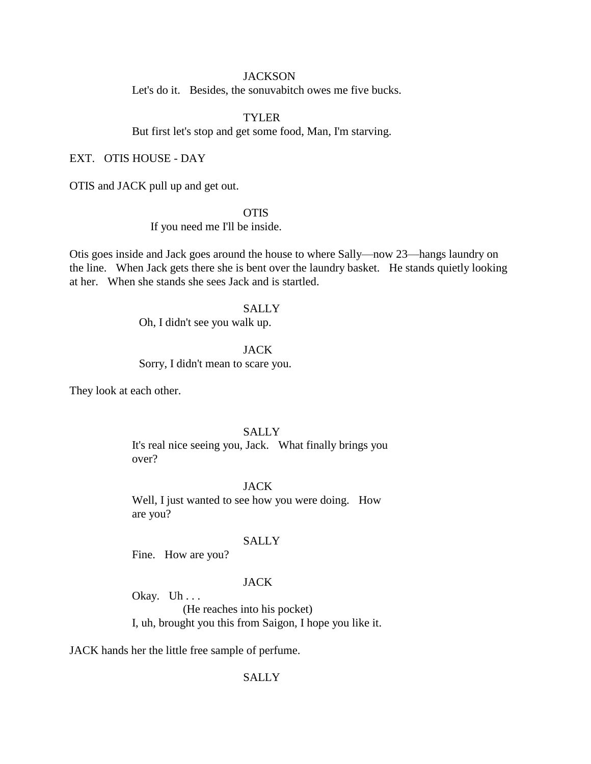### **JACKSON**

Let's do it. Besides, the sonuvabitch owes me five bucks.

### TYLER

But first let's stop and get some food, Man, I'm starving.

### EXT. OTIS HOUSE - DAY

OTIS and JACK pull up and get out.

### **OTIS**

If you need me I'll be inside.

Otis goes inside and Jack goes around the house to where Sally—now 23—hangs laundry on the line. When Jack gets there she is bent over the laundry basket. He stands quietly looking at her. When she stands she sees Jack and is startled.

## **SALLY**

Oh, I didn't see you walk up.

### JACK

Sorry, I didn't mean to scare you.

They look at each other.

## **SALLY**

It's real nice seeing you, Jack. What finally brings you over?

## JACK

Well, I just wanted to see how you were doing. How are you?

## **SALLY**

Fine. How are you?

### JACK

Okay. Uh... (He reaches into his pocket) I, uh, brought you this from Saigon, I hope you like it.

JACK hands her the little free sample of perfume.

#### SALLY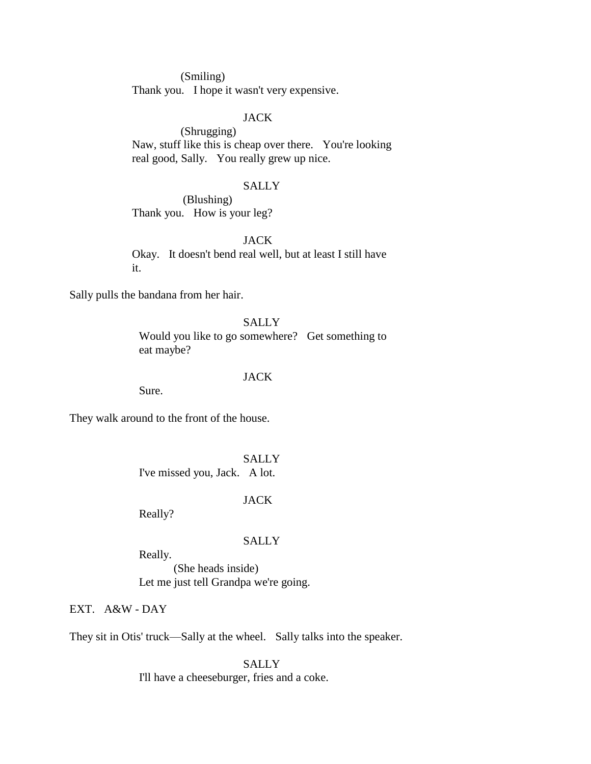(Smiling) Thank you. I hope it wasn't very expensive.

## JACK

(Shrugging) Naw, stuff like this is cheap over there. You're looking real good, Sally. You really grew up nice.

## **SALLY**

 (Blushing) Thank you. How is your leg?

JACK Okay. It doesn't bend real well, but at least I still have it.

Sally pulls the bandana from her hair.

SALLY Would you like to go somewhere? Get something to eat maybe?

## JACK

Sure.

They walk around to the front of the house.

SALLY I've missed you, Jack. A lot.

## JACK

Really?

### SALLY

Really.

(She heads inside) Let me just tell Grandpa we're going.

EXT. A&W - DAY

They sit in Otis' truck—Sally at the wheel. Sally talks into the speaker.

**SALLY** I'll have a cheeseburger, fries and a coke.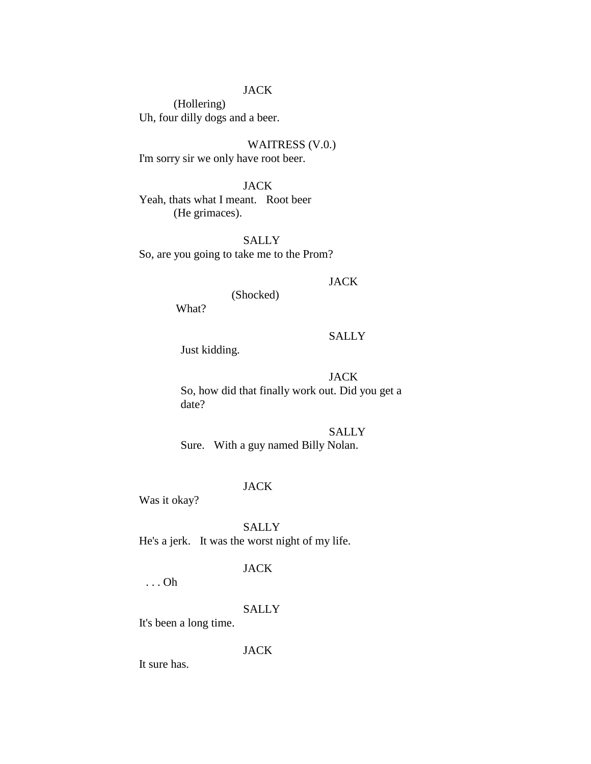## JACK

(Hollering) Uh, four dilly dogs and a beer.

WAITRESS (V.0.) I'm sorry sir we only have root beer.

JACK

Yeah, thats what I meant. Root beer (He grimaces).

SALLY So, are you going to take me to the Prom?

### **JACK**

(Shocked)

What?

# **SALLY**

Just kidding.

## JACK

 So, how did that finally work out. Did you get a date?

**SALLY** Sure. With a guy named Billy Nolan.

#### JACK

Was it okay?

SALLY He's a jerk. It was the worst night of my life.

## JACK

. . . Oh

#### **SALLY**

It's been a long time.

JACK

It sure has.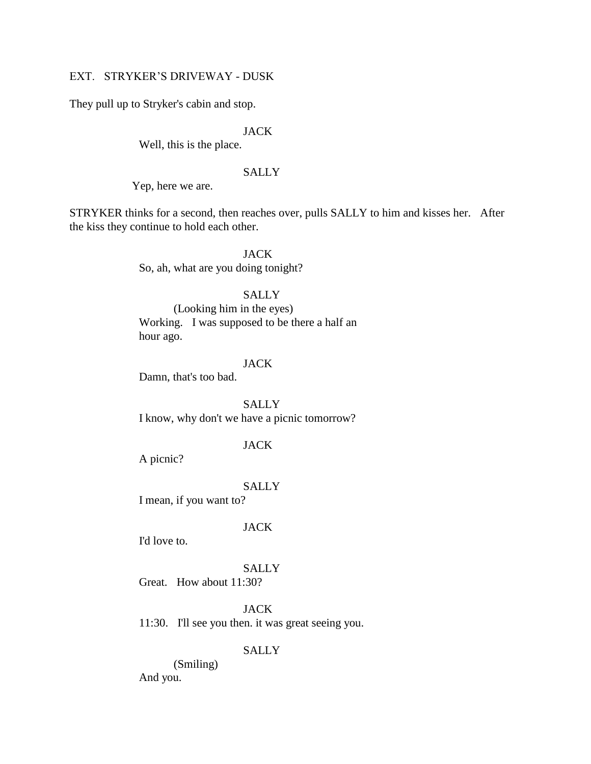## EXT. STRYKER'S DRIVEWAY - DUSK

They pull up to Stryker's cabin and stop.

### JACK

Well, this is the place.

## SALLY

Yep, here we are.

STRYKER thinks for a second, then reaches over, pulls SALLY to him and kisses her. After the kiss they continue to hold each other.

> JACK So, ah, what are you doing tonight?

### **SALLY**

(Looking him in the eyes) Working. I was supposed to be there a half an hour ago.

#### JACK

Damn, that's too bad.

**SALLY** I know, why don't we have a picnic tomorrow?

## JACK

A picnic?

#### SALLY

I mean, if you want to?

## JACK

I'd love to.

### SALLY

Great. How about 11:30?

JACK

11:30. I'll see you then. it was great seeing you.

## **SALLY**

(Smiling) And you.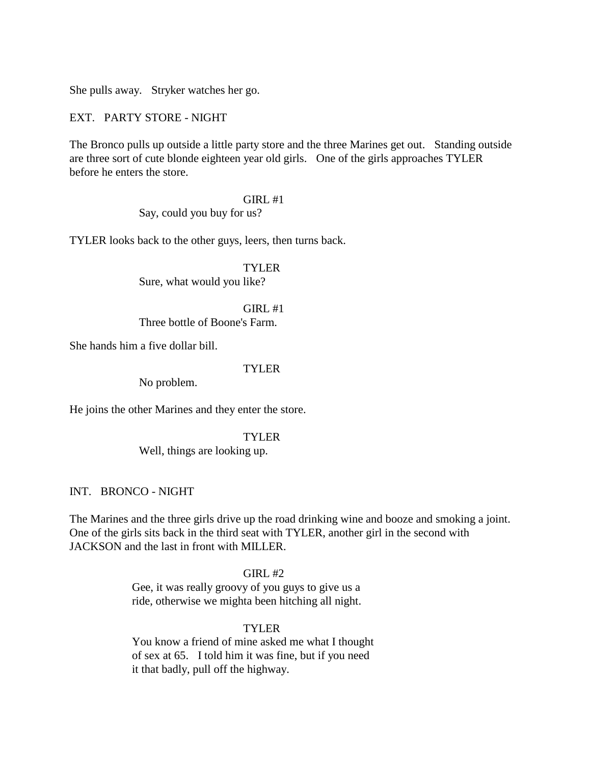She pulls away. Stryker watches her go.

EXT. PARTY STORE - NIGHT

The Bronco pulls up outside a little party store and the three Marines get out. Standing outside are three sort of cute blonde eighteen year old girls. One of the girls approaches TYLER before he enters the store.

GIRL #1

Say, could you buy for us?

TYLER looks back to the other guys, leers, then turns back.

TYLER Sure, what would you like?

 $GIRL#1$ Three bottle of Boone's Farm.

She hands him a five dollar bill.

## TYLER

No problem.

He joins the other Marines and they enter the store.

## TYLER

Well, things are looking up.

## INT. BRONCO - NIGHT

The Marines and the three girls drive up the road drinking wine and booze and smoking a joint. One of the girls sits back in the third seat with TYLER, another girl in the second with JACKSON and the last in front with MILLER.

## $GIRL#2$

Gee, it was really groovy of you guys to give us a ride, otherwise we mighta been hitching all night.

## TYLER

You know a friend of mine asked me what I thought of sex at 65. I told him it was fine, but if you need it that badly, pull off the highway.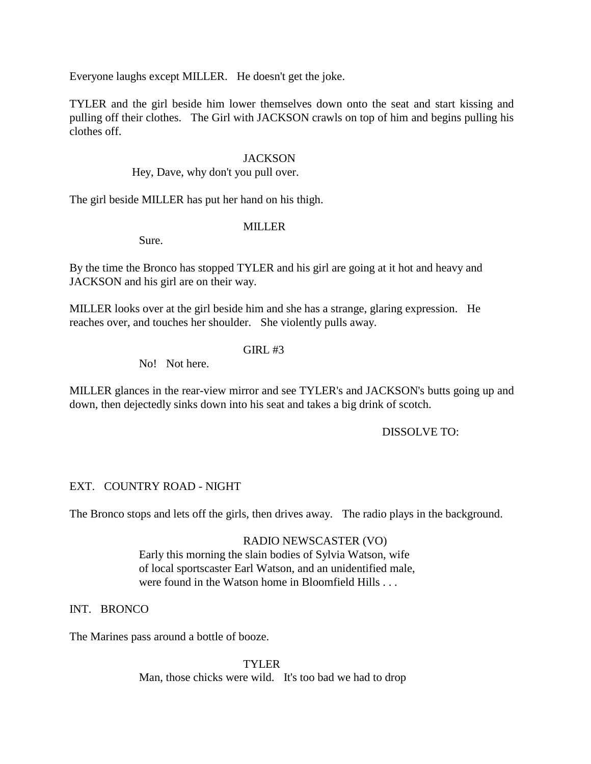Everyone laughs except MILLER. He doesn't get the joke.

TYLER and the girl beside him lower themselves down onto the seat and start kissing and pulling off their clothes. The Girl with JACKSON crawls on top of him and begins pulling his clothes off.

## **JACKSON**

Hey, Dave, why don't you pull over.

The girl beside MILLER has put her hand on his thigh.

## MILLER

Sure.

By the time the Bronco has stopped TYLER and his girl are going at it hot and heavy and JACKSON and his girl are on their way.

MILLER looks over at the girl beside him and she has a strange, glaring expression. He reaches over, and touches her shoulder. She violently pulls away.

## GIRL #3

No! Not here.

MILLER glances in the rear-view mirror and see TYLER's and JACKSON's butts going up and down, then dejectedly sinks down into his seat and takes a big drink of scotch.

## DISSOLVE TO:

## EXT. COUNTRY ROAD - NIGHT

The Bronco stops and lets off the girls, then drives away. The radio plays in the background.

## RADIO NEWSCASTER (VO)

Early this morning the slain bodies of Sylvia Watson, wife of local sportscaster Earl Watson, and an unidentified male, were found in the Watson home in Bloomfield Hills . . .

## INT. BRONCO

The Marines pass around a bottle of booze.

TYLER Man, those chicks were wild. It's too bad we had to drop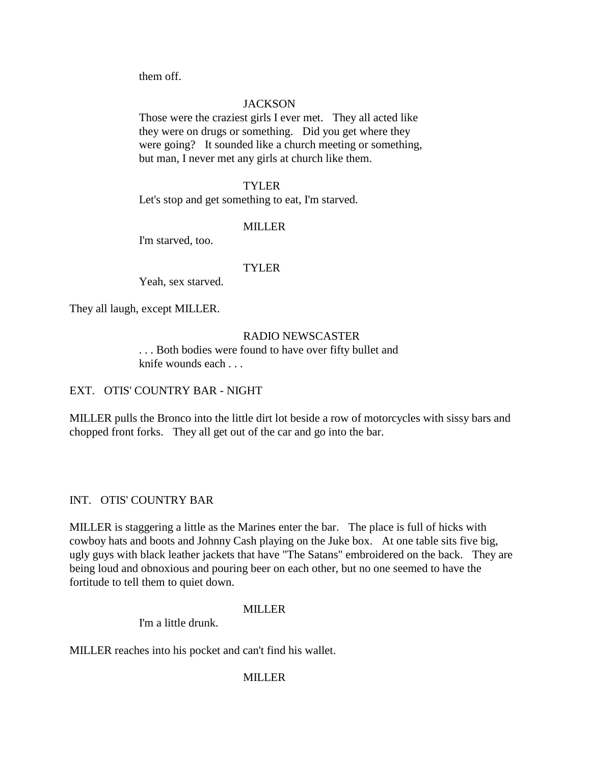them off.

# **JACKSON**

Those were the craziest girls I ever met. They all acted like they were on drugs or something. Did you get where they were going? It sounded like a church meeting or something, but man, I never met any girls at church like them.

## TYLER

Let's stop and get something to eat, I'm starved.

# **MILLER**

I'm starved, too.

# TYLER

Yeah, sex starved.

They all laugh, except MILLER.

# RADIO NEWSCASTER

. . . Both bodies were found to have over fifty bullet and knife wounds each . . .

# EXT. OTIS' COUNTRY BAR - NIGHT

MILLER pulls the Bronco into the little dirt lot beside a row of motorcycles with sissy bars and chopped front forks. They all get out of the car and go into the bar.

# INT. OTIS' COUNTRY BAR

MILLER is staggering a little as the Marines enter the bar. The place is full of hicks with cowboy hats and boots and Johnny Cash playing on the Juke box. At one table sits five big, ugly guys with black leather jackets that have "The Satans" embroidered on the back. They are being loud and obnoxious and pouring beer on each other, but no one seemed to have the fortitude to tell them to quiet down.

## MILLER

I'm a little drunk.

MILLER reaches into his pocket and can't find his wallet.

# MILLER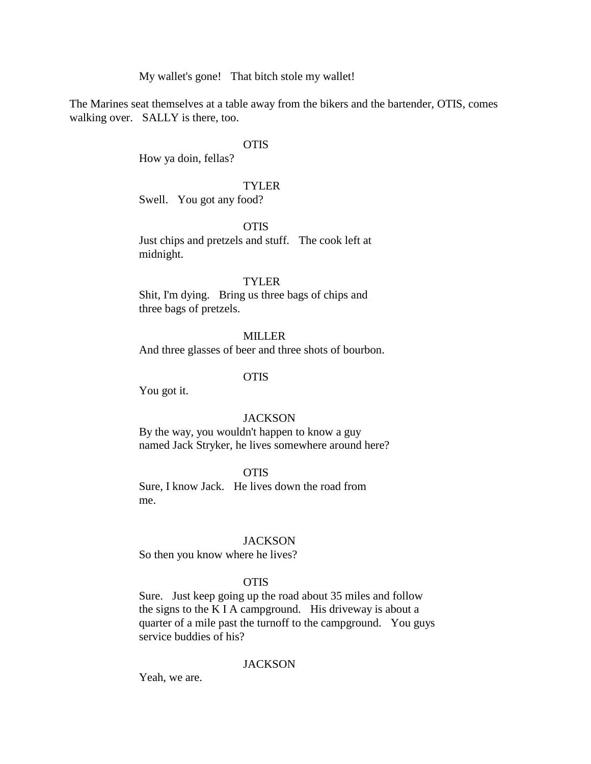My wallet's gone! That bitch stole my wallet!

The Marines seat themselves at a table away from the bikers and the bartender, OTIS, comes walking over. SALLY is there, too.

## **OTIS**

How ya doin, fellas?

### TYLER

Swell. You got any food?

**OTIS** 

Just chips and pretzels and stuff. The cook left at midnight.

### TYLER

Shit, I'm dying. Bring us three bags of chips and three bags of pretzels.

## MILLER

And three glasses of beer and three shots of bourbon.

#### **OTIS**

You got it.

#### **JACKSON**

By the way, you wouldn't happen to know a guy named Jack Stryker, he lives somewhere around here?

## **OTIS**

Sure, I know Jack. He lives down the road from me.

### **JACKSON**

So then you know where he lives?

### OTIS

Sure. Just keep going up the road about 35 miles and follow the signs to the K I A campground. His driveway is about a quarter of a mile past the turnoff to the campground. You guys service buddies of his?

## **JACKSON**

Yeah, we are.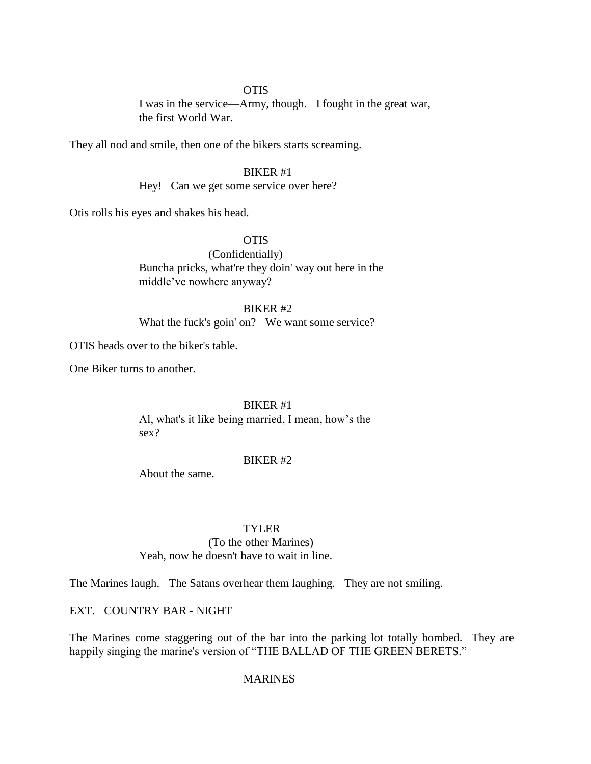## **OTIS**

I was in the service—Army, though. I fought in the great war, the first World War.

They all nod and smile, then one of the bikers starts screaming.

## BIKER #1

Hey! Can we get some service over here?

Otis rolls his eyes and shakes his head.

# OTIS

(Confidentially) Buncha pricks, what're they doin' way out here in the middle've nowhere anyway?

## BIKER #2

What the fuck's goin' on? We want some service?

OTIS heads over to the biker's table.

One Biker turns to another.

### BIKER #1

Al, what's it like being married, I mean, how's the sex?

#### BIKER #2

About the same.

## TYLER

#### (To the other Marines)

Yeah, now he doesn't have to wait in line.

The Marines laugh. The Satans overhear them laughing. They are not smiling.

## EXT. COUNTRY BAR - NIGHT

The Marines come staggering out of the bar into the parking lot totally bombed. They are happily singing the marine's version of "THE BALLAD OF THE GREEN BERETS."

## MARINES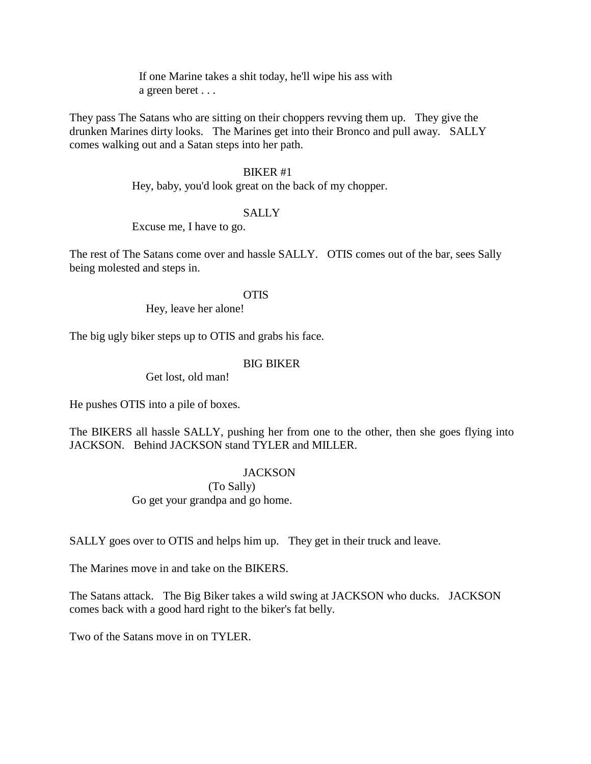If one Marine takes a shit today, he'll wipe his ass with a green beret . . .

They pass The Satans who are sitting on their choppers revving them up. They give the drunken Marines dirty looks. The Marines get into their Bronco and pull away. SALLY comes walking out and a Satan steps into her path.

## BIKER #1

Hey, baby, you'd look great on the back of my chopper.

## **SALLY**

Excuse me, I have to go.

The rest of The Satans come over and hassle SALLY. OTIS comes out of the bar, sees Sally being molested and steps in.

OTIS

Hey, leave her alone!

The big ugly biker steps up to OTIS and grabs his face.

## BIG BIKER

Get lost, old man!

He pushes OTIS into a pile of boxes.

The BIKERS all hassle SALLY, pushing her from one to the other, then she goes flying into JACKSON. Behind JACKSON stand TYLER and MILLER.

## **JACKSON**

(To Sally)

Go get your grandpa and go home.

SALLY goes over to OTIS and helps him up. They get in their truck and leave.

The Marines move in and take on the BIKERS.

The Satans attack. The Big Biker takes a wild swing at JACKSON who ducks. JACKSON comes back with a good hard right to the biker's fat belly.

Two of the Satans move in on TYLER.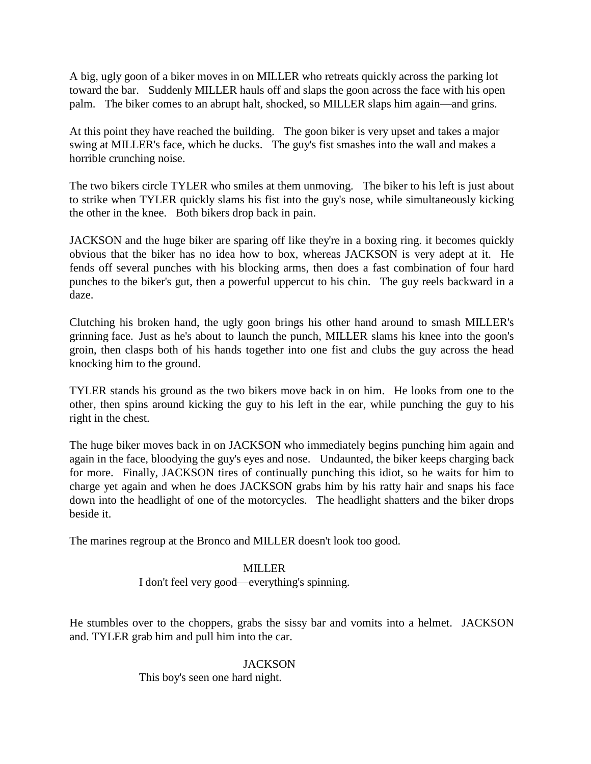A big, ugly goon of a biker moves in on MILLER who retreats quickly across the parking lot toward the bar. Suddenly MILLER hauls off and slaps the goon across the face with his open palm. The biker comes to an abrupt halt, shocked, so MILLER slaps him again—and grins.

At this point they have reached the building. The goon biker is very upset and takes a major swing at MILLER's face, which he ducks. The guy's fist smashes into the wall and makes a horrible crunching noise.

The two bikers circle TYLER who smiles at them unmoving. The biker to his left is just about to strike when TYLER quickly slams his fist into the guy's nose, while simultaneously kicking the other in the knee. Both bikers drop back in pain.

JACKSON and the huge biker are sparing off like they're in a boxing ring. it becomes quickly obvious that the biker has no idea how to box, whereas JACKSON is very adept at it. He fends off several punches with his blocking arms, then does a fast combination of four hard punches to the biker's gut, then a powerful uppercut to his chin. The guy reels backward in a daze.

Clutching his broken hand, the ugly goon brings his other hand around to smash MILLER's grinning face. Just as he's about to launch the punch, MILLER slams his knee into the goon's groin, then clasps both of his hands together into one fist and clubs the guy across the head knocking him to the ground.

TYLER stands his ground as the two bikers move back in on him. He looks from one to the other, then spins around kicking the guy to his left in the ear, while punching the guy to his right in the chest.

The huge biker moves back in on JACKSON who immediately begins punching him again and again in the face, bloodying the guy's eyes and nose. Undaunted, the biker keeps charging back for more. Finally, JACKSON tires of continually punching this idiot, so he waits for him to charge yet again and when he does JACKSON grabs him by his ratty hair and snaps his face down into the headlight of one of the motorcycles. The headlight shatters and the biker drops beside it.

The marines regroup at the Bronco and MILLER doesn't look too good.

## **MILLER**

I don't feel very good—everything's spinning.

He stumbles over to the choppers, grabs the sissy bar and vomits into a helmet. JACKSON and. TYLER grab him and pull him into the car.

## **JACKSON**

This boy's seen one hard night.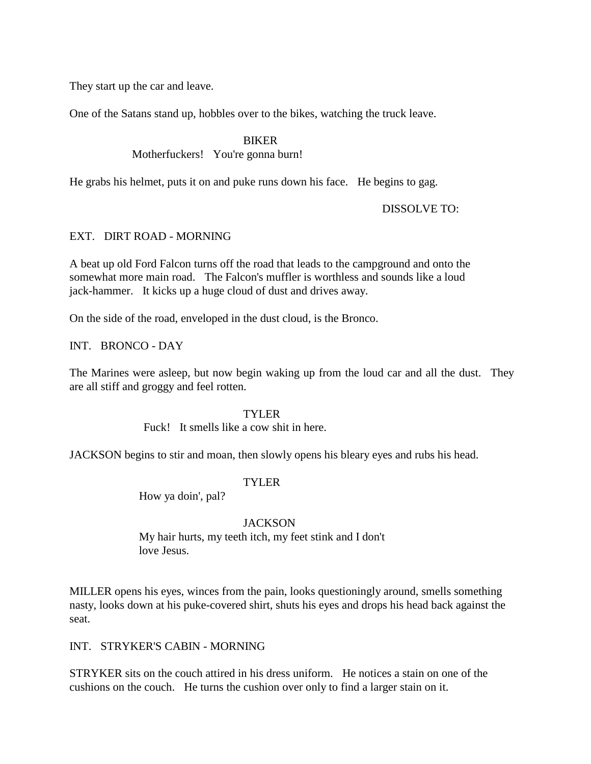They start up the car and leave.

One of the Satans stand up, hobbles over to the bikes, watching the truck leave.

BIKER

Motherfuckers! You're gonna burn!

He grabs his helmet, puts it on and puke runs down his face. He begins to gag.

DISSOLVE TO:

## EXT. DIRT ROAD - MORNING

A beat up old Ford Falcon turns off the road that leads to the campground and onto the somewhat more main road. The Falcon's muffler is worthless and sounds like a loud jack-hammer. It kicks up a huge cloud of dust and drives away.

On the side of the road, enveloped in the dust cloud, is the Bronco.

INT. BRONCO - DAY

The Marines were asleep, but now begin waking up from the loud car and all the dust. They are all stiff and groggy and feel rotten.

## TYLER

Fuck! It smells like a cow shit in here.

JACKSON begins to stir and moan, then slowly opens his bleary eyes and rubs his head.

## **TYLER**

How ya doin', pal?

## **JACKSON**

My hair hurts, my teeth itch, my feet stink and I don't love Jesus.

MILLER opens his eyes, winces from the pain, looks questioningly around, smells something nasty, looks down at his puke-covered shirt, shuts his eyes and drops his head back against the seat.

## INT. STRYKER'S CABIN - MORNING

STRYKER sits on the couch attired in his dress uniform. He notices a stain on one of the cushions on the couch. He turns the cushion over only to find a larger stain on it.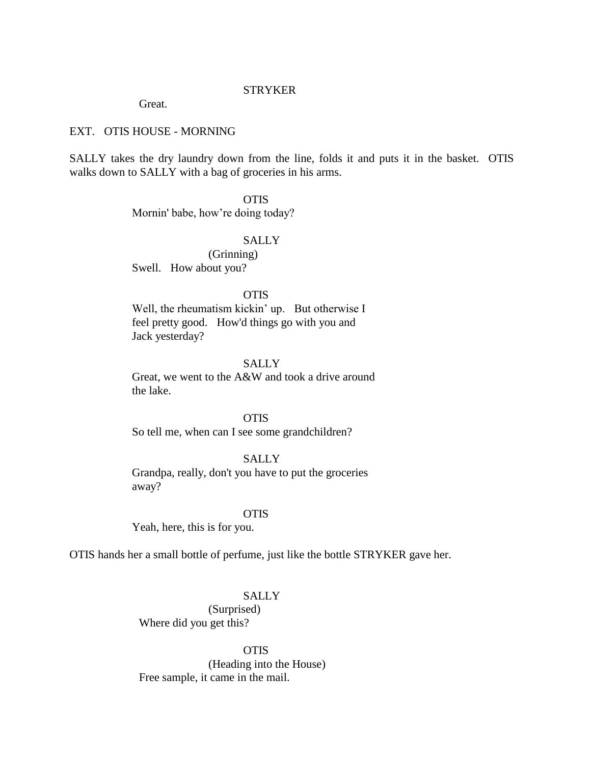## **STRYKER**

Great.

### EXT. OTIS HOUSE - MORNING

SALLY takes the dry laundry down from the line, folds it and puts it in the basket. OTIS walks down to SALLY with a bag of groceries in his arms.

OTIS

Mornin' babe, how're doing today?

## SALLY

(Grinning) Swell. How about you?

### **OTIS**

Well, the rheumatism kickin' up. But otherwise I feel pretty good. How'd things go with you and Jack yesterday?

## **SALLY**

Great, we went to the A&W and took a drive around the lake.

OTIS

So tell me, when can I see some grandchildren?

SALLY

Grandpa, really, don't you have to put the groceries away?

**OTIS** 

Yeah, here, this is for you.

OTIS hands her a small bottle of perfume, just like the bottle STRYKER gave her.

## SALLY

(Surprised) Where did you get this?

**OTIS** (Heading into the House) Free sample, it came in the mail.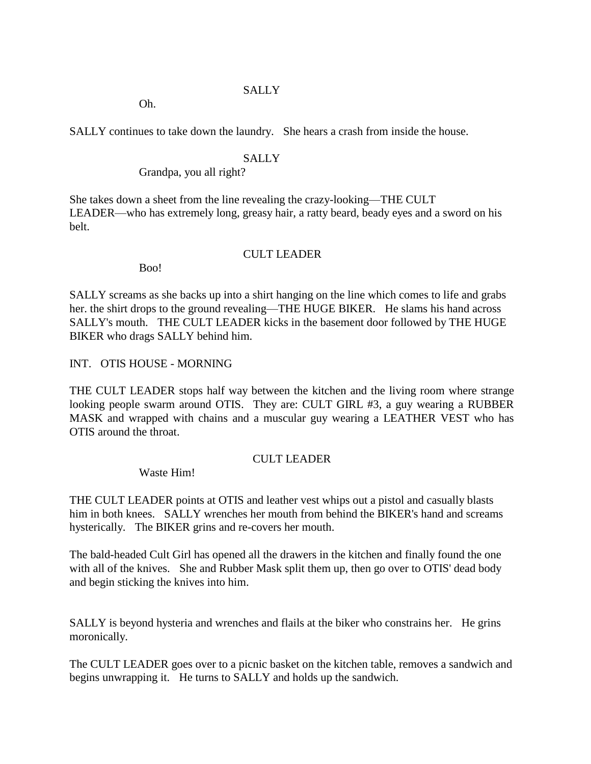## SALLY

Oh.

SALLY continues to take down the laundry. She hears a crash from inside the house.

## **SALLY**

Grandpa, you all right?

She takes down a sheet from the line revealing the crazy-looking—THE CULT LEADER—who has extremely long, greasy hair, a ratty beard, beady eyes and a sword on his belt.

## CULT LEADER

Boo!

SALLY screams as she backs up into a shirt hanging on the line which comes to life and grabs her. the shirt drops to the ground revealing—THE HUGE BIKER. He slams his hand across SALLY's mouth. THE CULT LEADER kicks in the basement door followed by THE HUGE BIKER who drags SALLY behind him.

INT. OTIS HOUSE - MORNING

THE CULT LEADER stops half way between the kitchen and the living room where strange looking people swarm around OTIS. They are: CULT GIRL #3, a guy wearing a RUBBER MASK and wrapped with chains and a muscular guy wearing a LEATHER VEST who has OTIS around the throat.

## CULT LEADER

Waste Him!

THE CULT LEADER points at OTIS and leather vest whips out a pistol and casually blasts him in both knees. SALLY wrenches her mouth from behind the BIKER's hand and screams hysterically. The BIKER grins and re-covers her mouth.

The bald-headed Cult Girl has opened all the drawers in the kitchen and finally found the one with all of the knives. She and Rubber Mask split them up, then go over to OTIS' dead body and begin sticking the knives into him.

SALLY is beyond hysteria and wrenches and flails at the biker who constrains her. He grins moronically.

The CULT LEADER goes over to a picnic basket on the kitchen table, removes a sandwich and begins unwrapping it. He turns to SALLY and holds up the sandwich.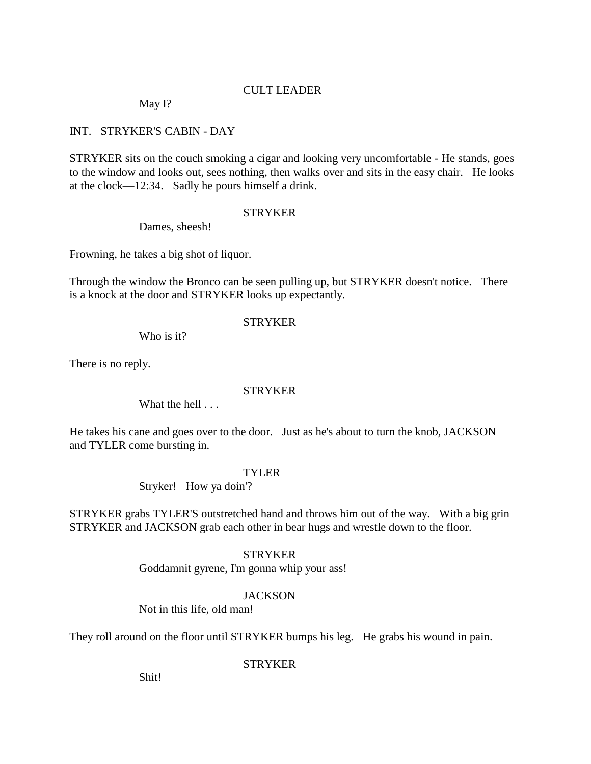# CULT LEADER

May I?

## INT. STRYKER'S CABIN - DAY

STRYKER sits on the couch smoking a cigar and looking very uncomfortable - He stands, goes to the window and looks out, sees nothing, then walks over and sits in the easy chair. He looks at the clock—12:34. Sadly he pours himself a drink.

## **STRYKER**

Dames, sheesh!

Frowning, he takes a big shot of liquor.

Through the window the Bronco can be seen pulling up, but STRYKER doesn't notice. There is a knock at the door and STRYKER looks up expectantly.

## STRYKER

Who is it?

There is no reply.

## **STRYKER**

What the hell . . .

He takes his cane and goes over to the door. Just as he's about to turn the knob, JACKSON and TYLER come bursting in.

## TYLER

Stryker! How ya doin'?

STRYKER grabs TYLER'S outstretched hand and throws him out of the way. With a big grin STRYKER and JACKSON grab each other in bear hugs and wrestle down to the floor.

## **STRYKER**

Goddamnit gyrene, I'm gonna whip your ass!

## **JACKSON**

Not in this life, old man!

They roll around on the floor until STRYKER bumps his leg. He grabs his wound in pain.

## **STRYKER**

Shit!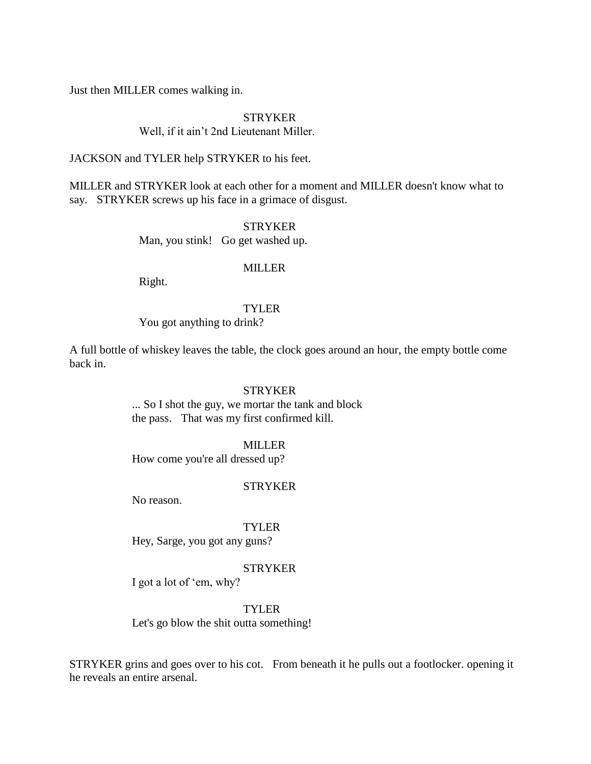Just then MILLER comes walking in.

### STRYKER

### Well, if it ain't 2nd Lieutenant Miller.

## JACKSON and TYLER help STRYKER to his feet.

MILLER and STRYKER look at each other for a moment and MILLER doesn't know what to say. STRYKER screws up his face in a grimace of disgust.

**STRYKER** 

Man, you stink! Go get washed up.

## **MILLER**

Right.

## TYLER

You got anything to drink?

A full bottle of whiskey leaves the table, the clock goes around an hour, the empty bottle come back in.

#### **STRYKER**

... So I shot the guy, we mortar the tank and block the pass. That was my first confirmed kill.

#### MILLER

How come you're all dressed up?

#### STRYKER

No reason.

# TYLER

Hey, Sarge, you got any guns?

#### STRYKER

I got a lot of 'em, why?

#### TYLER

Let's go blow the shit outta something!

STRYKER grins and goes over to his cot. From beneath it he pulls out a footlocker. opening it he reveals an entire arsenal.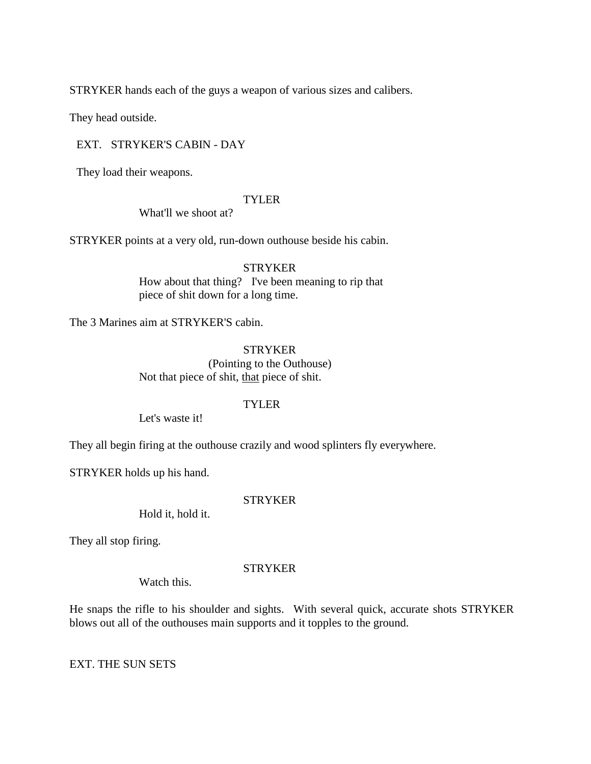STRYKER hands each of the guys a weapon of various sizes and calibers.

They head outside.

EXT. STRYKER'S CABIN - DAY

They load their weapons.

### TYLER

What'll we shoot at?

STRYKER points at a very old, run-down outhouse beside his cabin.

**STRYKER** How about that thing? I've been meaning to rip that piece of shit down for a long time.

The 3 Marines aim at STRYKER'S cabin.

STRYKER (Pointing to the Outhouse) Not that piece of shit, that piece of shit.

## TYLER

Let's waste it!

They all begin firing at the outhouse crazily and wood splinters fly everywhere.

STRYKER holds up his hand.

## **STRYKER**

Hold it, hold it.

They all stop firing.

## **STRYKER**

Watch this.

He snaps the rifle to his shoulder and sights. With several quick, accurate shots STRYKER blows out all of the outhouses main supports and it topples to the ground.

EXT. THE SUN SETS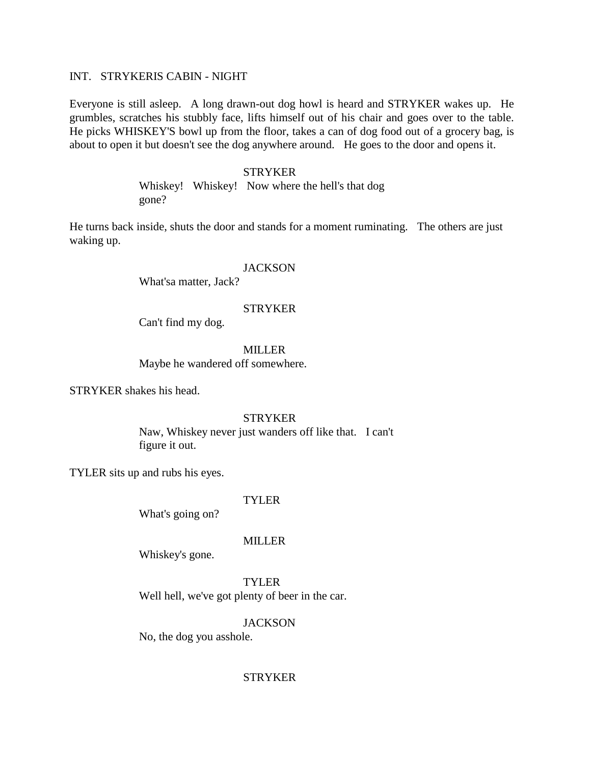### INT. STRYKERIS CABIN - NIGHT

Everyone is still asleep. A long drawn-out dog howl is heard and STRYKER wakes up. He grumbles, scratches his stubbly face, lifts himself out of his chair and goes over to the table. He picks WHISKEY'S bowl up from the floor, takes a can of dog food out of a grocery bag, is about to open it but doesn't see the dog anywhere around. He goes to the door and opens it.

#### STRYKER

Whiskey! Whiskey! Now where the hell's that dog gone?

He turns back inside, shuts the door and stands for a moment ruminating. The others are just waking up.

### **JACKSON**

What'sa matter, Jack?

#### **STRYKER**

Can't find my dog.

MILLER

Maybe he wandered off somewhere.

STRYKER shakes his head.

#### STRYKER

Naw, Whiskey never just wanders off like that. I can't figure it out.

TYLER sits up and rubs his eyes.

## TYLER

What's going on?

### MILLER

Whiskey's gone.

TYLER

Well hell, we've got plenty of beer in the car.

## **JACKSON**

No, the dog you asshole.

#### STRYKER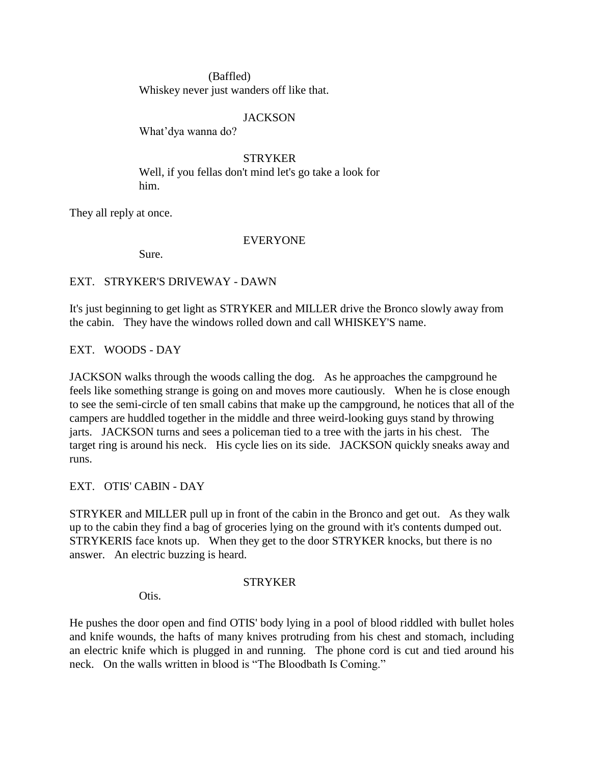(Baffled) Whiskey never just wanders off like that.

## **JACKSON**

What'dya wanna do?

STRYKER Well, if you fellas don't mind let's go take a look for him.

They all reply at once.

## EVERYONE

Sure.

EXT. STRYKER'S DRIVEWAY - DAWN

It's just beginning to get light as STRYKER and MILLER drive the Bronco slowly away from the cabin. They have the windows rolled down and call WHISKEY'S name.

EXT. WOODS - DAY

JACKSON walks through the woods calling the dog. As he approaches the campground he feels like something strange is going on and moves more cautiously. When he is close enough to see the semi-circle of ten small cabins that make up the campground, he notices that all of the campers are huddled together in the middle and three weird-looking guys stand by throwing jarts. JACKSON turns and sees a policeman tied to a tree with the jarts in his chest. The target ring is around his neck. His cycle lies on its side. JACKSON quickly sneaks away and runs.

EXT. OTIS' CABIN - DAY

STRYKER and MILLER pull up in front of the cabin in the Bronco and get out. As they walk up to the cabin they find a bag of groceries lying on the ground with it's contents dumped out. STRYKERIS face knots up. When they get to the door STRYKER knocks, but there is no answer. An electric buzzing is heard.

## STRYKER

Otis.

He pushes the door open and find OTIS' body lying in a pool of blood riddled with bullet holes and knife wounds, the hafts of many knives protruding from his chest and stomach, including an electric knife which is plugged in and running. The phone cord is cut and tied around his neck. On the walls written in blood is "The Bloodbath Is Coming."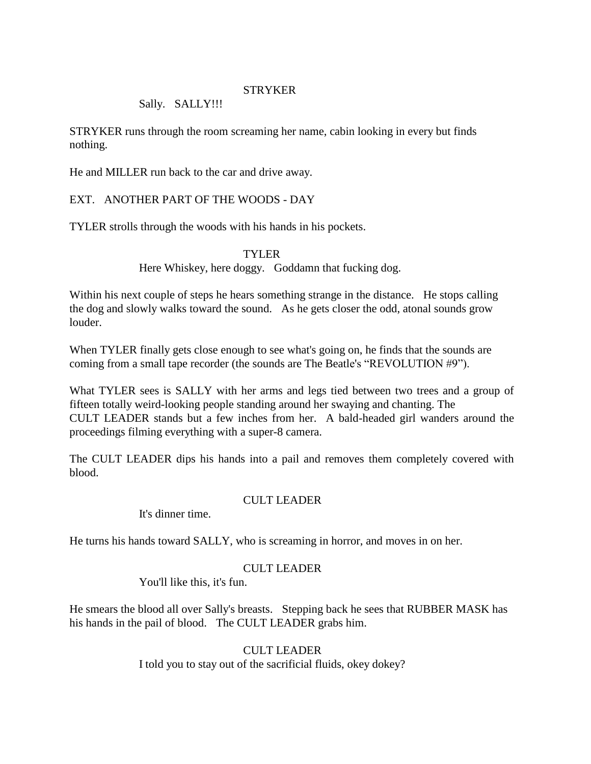## **STRYKER**

## Sally. SALLY!!!

STRYKER runs through the room screaming her name, cabin looking in every but finds nothing.

He and MILLER run back to the car and drive away.

# EXT. ANOTHER PART OF THE WOODS - DAY

TYLER strolls through the woods with his hands in his pockets.

TYLER

Here Whiskey, here doggy. Goddamn that fucking dog.

Within his next couple of steps he hears something strange in the distance. He stops calling the dog and slowly walks toward the sound. As he gets closer the odd, atonal sounds grow louder.

When TYLER finally gets close enough to see what's going on, he finds that the sounds are coming from a small tape recorder (the sounds are The Beatle's "REVOLUTION #9").

What TYLER sees is SALLY with her arms and legs tied between two trees and a group of fifteen totally weird-looking people standing around her swaying and chanting. The CULT LEADER stands but a few inches from her. A bald-headed girl wanders around the proceedings filming everything with a super-8 camera.

The CULT LEADER dips his hands into a pail and removes them completely covered with blood.

## CULT LEADER

It's dinner time.

He turns his hands toward SALLY, who is screaming in horror, and moves in on her.

## CULT LEADER

You'll like this, it's fun.

He smears the blood all over Sally's breasts. Stepping back he sees that RUBBER MASK has his hands in the pail of blood. The CULT LEADER grabs him.

> CULT LEADER I told you to stay out of the sacrificial fluids, okey dokey?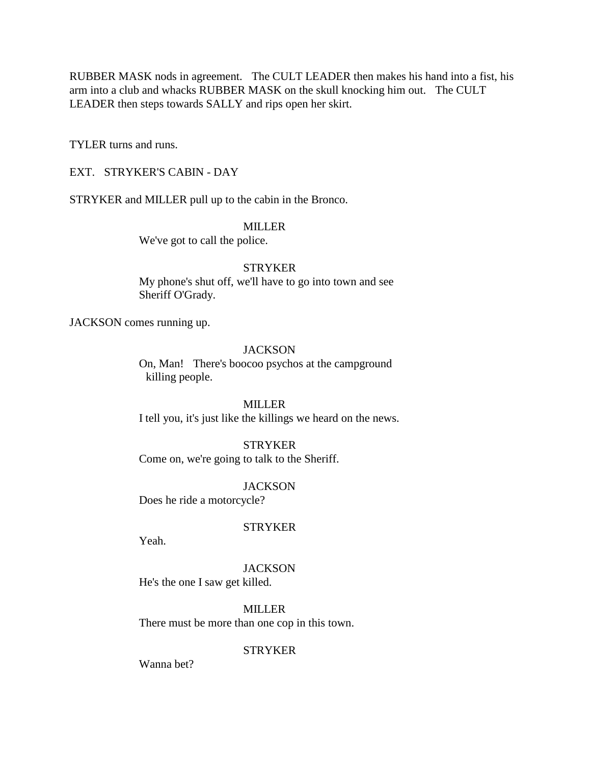RUBBER MASK nods in agreement. The CULT LEADER then makes his hand into a fist, his arm into a club and whacks RUBBER MASK on the skull knocking him out. The CULT LEADER then steps towards SALLY and rips open her skirt.

TYLER turns and runs.

EXT. STRYKER'S CABIN - DAY

STRYKER and MILLER pull up to the cabin in the Bronco.

### MILLER

We've got to call the police.

## **STRYKER**

My phone's shut off, we'll have to go into town and see Sheriff O'Grady.

JACKSON comes running up.

## **JACKSON**

On, Man! There's boocoo psychos at the campground killing people.

## MILLER

I tell you, it's just like the killings we heard on the news.

## STRYKER

Come on, we're going to talk to the Sheriff.

**JACKSON** 

Does he ride a motorcycle?

## **STRYKER**

Yeah.

## **JACKSON**

He's the one I saw get killed.

MILLER

There must be more than one cop in this town.

**STRYKER** 

Wanna bet?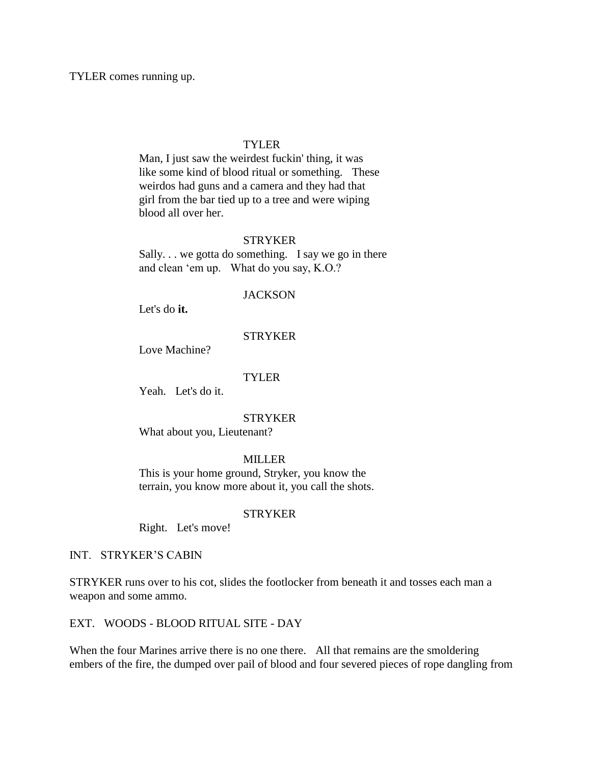TYLER comes running up.

#### TYLER

Man, I just saw the weirdest fuckin' thing, it was like some kind of blood ritual or something. These weirdos had guns and a camera and they had that girl from the bar tied up to a tree and were wiping blood all over her.

## STRYKER

Sally. . . we gotta do something. I say we go in there and clean 'em up. What do you say, K.O.?

#### **JACKSON**

Let's do **it.**

## **STRYKER**

Love Machine?

## **TYLER**

Yeah. Let's do it.

#### **STRYKER**

What about you, Lieutenant?

### MILLER

This is your home ground, Stryker, you know the terrain, you know more about it, you call the shots.

### STRYKER

Right. Let's move!

## INT. STRYKER'S CABIN

STRYKER runs over to his cot, slides the footlocker from beneath it and tosses each man a weapon and some ammo.

# EXT. WOODS - BLOOD RITUAL SITE - DAY

When the four Marines arrive there is no one there. All that remains are the smoldering embers of the fire, the dumped over pail of blood and four severed pieces of rope dangling from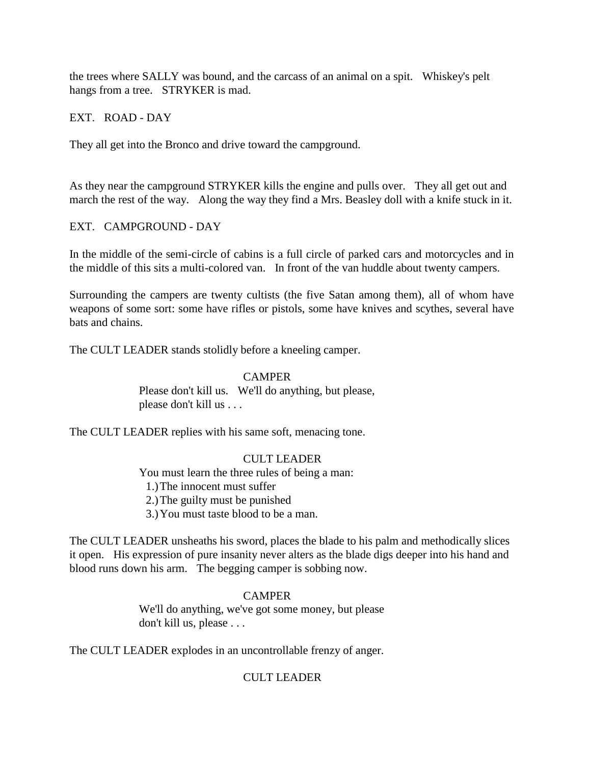the trees where SALLY was bound, and the carcass of an animal on a spit. Whiskey's pelt hangs from a tree. STRYKER is mad.

EXT. ROAD - DAY

They all get into the Bronco and drive toward the campground.

As they near the campground STRYKER kills the engine and pulls over. They all get out and march the rest of the way. Along the way they find a Mrs. Beasley doll with a knife stuck in it.

## EXT. CAMPGROUND - DAY

In the middle of the semi-circle of cabins is a full circle of parked cars and motorcycles and in the middle of this sits a multi-colored van. In front of the van huddle about twenty campers.

Surrounding the campers are twenty cultists (the five Satan among them), all of whom have weapons of some sort: some have rifles or pistols, some have knives and scythes, several have bats and chains.

The CULT LEADER stands stolidly before a kneeling camper.

## **CAMPER**

Please don't kill us. We'll do anything, but please, please don't kill us . . .

The CULT LEADER replies with his same soft, menacing tone.

## CULT LEADER

You must learn the three rules of being a man:

1.)The innocent must suffer

2.)The guilty must be punished

3.)You must taste blood to be a man.

The CULT LEADER unsheaths his sword, places the blade to his palm and methodically slices it open. His expression of pure insanity never alters as the blade digs deeper into his hand and blood runs down his arm. The begging camper is sobbing now.

## **CAMPER**

We'll do anything, we've got some money, but please don't kill us, please . . .

The CULT LEADER explodes in an uncontrollable frenzy of anger.

# CULT LEADER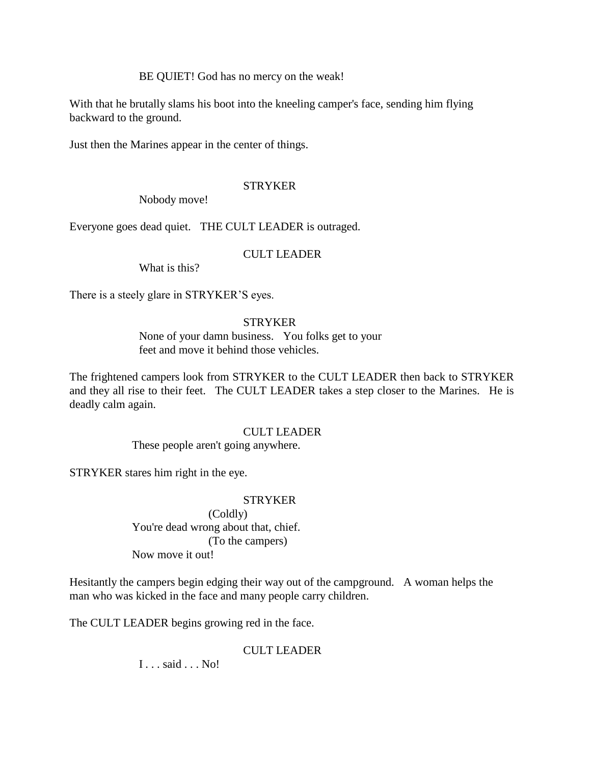BE QUIET! God has no mercy on the weak!

With that he brutally slams his boot into the kneeling camper's face, sending him flying backward to the ground.

Just then the Marines appear in the center of things.

# STRYKER

Nobody move!

Everyone goes dead quiet. THE CULT LEADER is outraged.

# CULT LEADER

What is this?

There is a steely glare in STRYKER'S eyes.

# STRYKER

None of your damn business. You folks get to your feet and move it behind those vehicles.

The frightened campers look from STRYKER to the CULT LEADER then back to STRYKER and they all rise to their feet. The CULT LEADER takes a step closer to the Marines. He is deadly calm again.

## CULT LEADER

These people aren't going anywhere.

STRYKER stares him right in the eye.

## **STRYKER**

(Coldly) You're dead wrong about that, chief. (To the campers) Now move it out!

Hesitantly the campers begin edging their way out of the campground. A woman helps the man who was kicked in the face and many people carry children.

The CULT LEADER begins growing red in the face.

# CULT LEADER

I . . . said . . . No!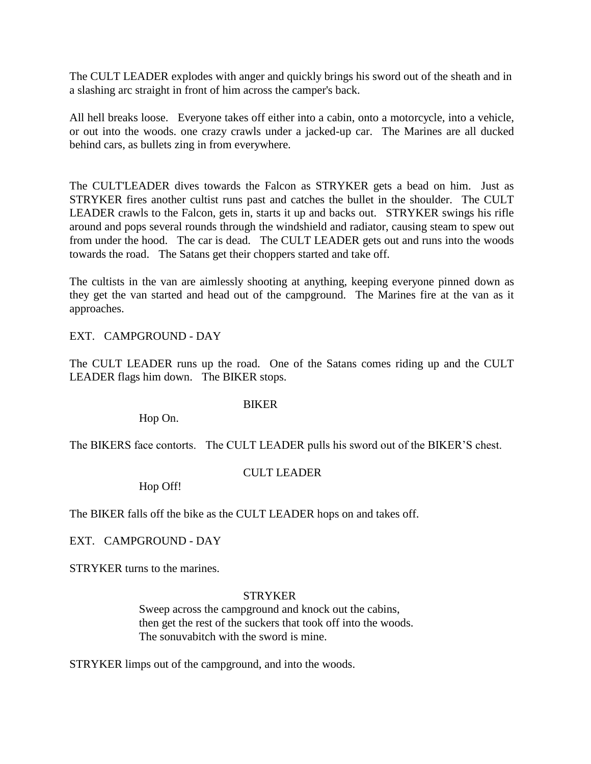The CULT LEADER explodes with anger and quickly brings his sword out of the sheath and in a slashing arc straight in front of him across the camper's back.

All hell breaks loose. Everyone takes off either into a cabin, onto a motorcycle, into a vehicle, or out into the woods. one crazy crawls under a jacked-up car. The Marines are all ducked behind cars, as bullets zing in from everywhere.

The CULT'LEADER dives towards the Falcon as STRYKER gets a bead on him. Just as STRYKER fires another cultist runs past and catches the bullet in the shoulder. The CULT LEADER crawls to the Falcon, gets in, starts it up and backs out. STRYKER swings his rifle around and pops several rounds through the windshield and radiator, causing steam to spew out from under the hood. The car is dead. The CULT LEADER gets out and runs into the woods towards the road. The Satans get their choppers started and take off.

The cultists in the van are aimlessly shooting at anything, keeping everyone pinned down as they get the van started and head out of the campground. The Marines fire at the van as it approaches.

EXT. CAMPGROUND - DAY

The CULT LEADER runs up the road. One of the Satans comes riding up and the CULT LEADER flags him down. The BIKER stops.

## BIKER

Hop On.

The BIKERS face contorts. The CULT LEADER pulls his sword out of the BIKER'S chest.

## CULT LEADER

Hop Off!

The BIKER falls off the bike as the CULT LEADER hops on and takes off.

EXT. CAMPGROUND - DAY

STRYKER turns to the marines.

## STRYKER

Sweep across the campground and knock out the cabins, then get the rest of the suckers that took off into the woods. The sonuvabitch with the sword is mine.

STRYKER limps out of the campground, and into the woods.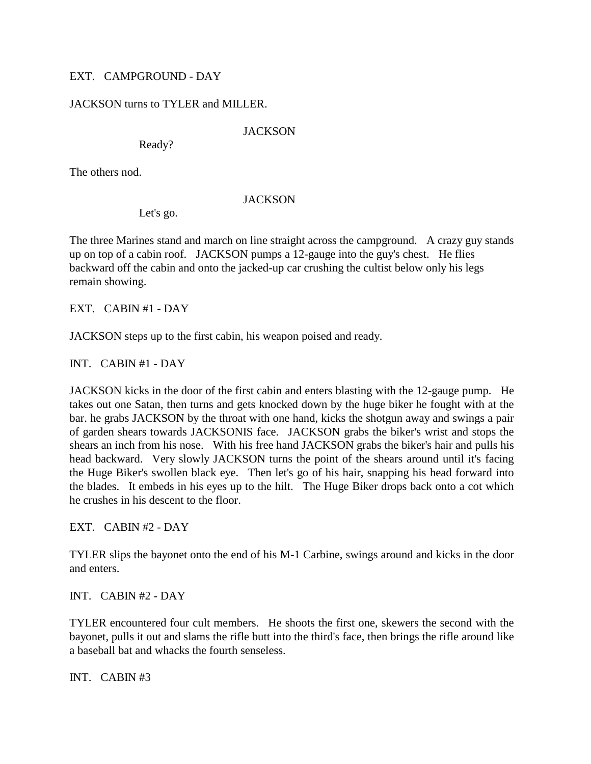# EXT. CAMPGROUND - DAY

# JACKSON turns to TYLER and MILLER.

## **JACKSON**

Ready?

The others nod.

## **JACKSON**

Let's go.

The three Marines stand and march on line straight across the campground. A crazy guy stands up on top of a cabin roof. JACKSON pumps a 12-gauge into the guy's chest. He flies backward off the cabin and onto the jacked-up car crushing the cultist below only his legs remain showing.

EXT. CABIN #1 - DAY

JACKSON steps up to the first cabin, his weapon poised and ready.

INT. CABIN #1 - DAY

JACKSON kicks in the door of the first cabin and enters blasting with the 12-gauge pump. He takes out one Satan, then turns and gets knocked down by the huge biker he fought with at the bar. he grabs JACKSON by the throat with one hand, kicks the shotgun away and swings a pair of garden shears towards JACKSONIS face. JACKSON grabs the biker's wrist and stops the shears an inch from his nose. With his free hand JACKSON grabs the biker's hair and pulls his head backward. Very slowly JACKSON turns the point of the shears around until it's facing the Huge Biker's swollen black eye. Then let's go of his hair, snapping his head forward into the blades. It embeds in his eyes up to the hilt. The Huge Biker drops back onto a cot which he crushes in his descent to the floor.

EXT. CABIN #2 - DAY

TYLER slips the bayonet onto the end of his M-1 Carbine, swings around and kicks in the door and enters.

INT. CABIN #2 - DAY

TYLER encountered four cult members. He shoots the first one, skewers the second with the bayonet, pulls it out and slams the rifle butt into the third's face, then brings the rifle around like a baseball bat and whacks the fourth senseless.

INT. CABIN #3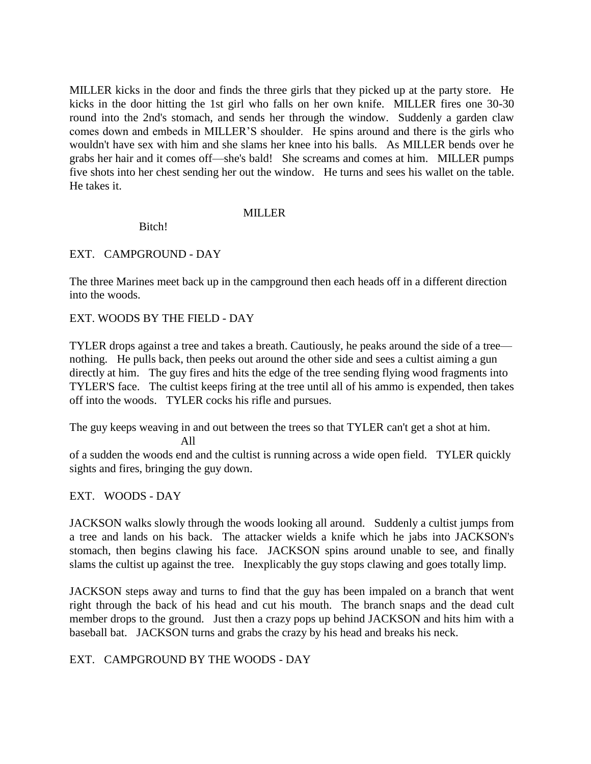MILLER kicks in the door and finds the three girls that they picked up at the party store. He kicks in the door hitting the 1st girl who falls on her own knife. MILLER fires one 30-30 round into the 2nd's stomach, and sends her through the window. Suddenly a garden claw comes down and embeds in MILLER'S shoulder. He spins around and there is the girls who wouldn't have sex with him and she slams her knee into his balls. As MILLER bends over he grabs her hair and it comes off—she's bald! She screams and comes at him. MILLER pumps five shots into her chest sending her out the window. He turns and sees his wallet on the table. He takes it.

## MILLER

Bitch!

## EXT. CAMPGROUND - DAY

The three Marines meet back up in the campground then each heads off in a different direction into the woods.

## EXT. WOODS BY THE FIELD - DAY

TYLER drops against a tree and takes a breath. Cautiously, he peaks around the side of a tree nothing. He pulls back, then peeks out around the other side and sees a cultist aiming a gun directly at him. The guy fires and hits the edge of the tree sending flying wood fragments into TYLER'S face. The cultist keeps firing at the tree until all of his ammo is expended, then takes off into the woods. TYLER cocks his rifle and pursues.

The guy keeps weaving in and out between the trees so that TYLER can't get a shot at him.

All

of a sudden the woods end and the cultist is running across a wide open field. TYLER quickly sights and fires, bringing the guy down.

# EXT. WOODS - DAY

JACKSON walks slowly through the woods looking all around. Suddenly a cultist jumps from a tree and lands on his back. The attacker wields a knife which he jabs into JACKSON's stomach, then begins clawing his face. JACKSON spins around unable to see, and finally slams the cultist up against the tree. Inexplicably the guy stops clawing and goes totally limp.

JACKSON steps away and turns to find that the guy has been impaled on a branch that went right through the back of his head and cut his mouth. The branch snaps and the dead cult member drops to the ground. Just then a crazy pops up behind JACKSON and hits him with a baseball bat. JACKSON turns and grabs the crazy by his head and breaks his neck.

EXT. CAMPGROUND BY THE WOODS - DAY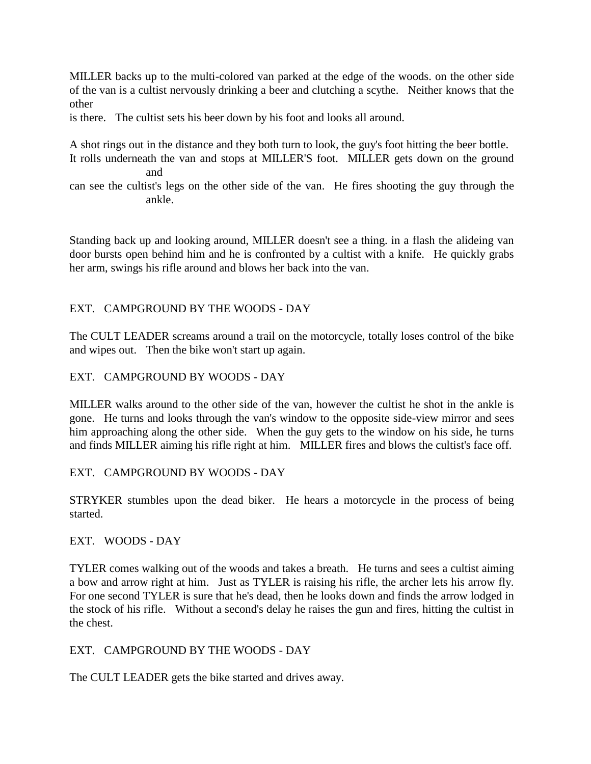MILLER backs up to the multi-colored van parked at the edge of the woods. on the other side of the van is a cultist nervously drinking a beer and clutching a scythe. Neither knows that the other

is there. The cultist sets his beer down by his foot and looks all around.

A shot rings out in the distance and they both turn to look, the guy's foot hitting the beer bottle.

It rolls underneath the van and stops at MILLER'S foot. MILLER gets down on the ground and

can see the cultist's legs on the other side of the van. He fires shooting the guy through the ankle.

Standing back up and looking around, MILLER doesn't see a thing. in a flash the alideing van door bursts open behind him and he is confronted by a cultist with a knife. He quickly grabs her arm, swings his rifle around and blows her back into the van.

# EXT. CAMPGROUND BY THE WOODS - DAY

The CULT LEADER screams around a trail on the motorcycle, totally loses control of the bike and wipes out. Then the bike won't start up again.

EXT. CAMPGROUND BY WOODS - DAY

MILLER walks around to the other side of the van, however the cultist he shot in the ankle is gone. He turns and looks through the van's window to the opposite side-view mirror and sees him approaching along the other side. When the guy gets to the window on his side, he turns and finds MILLER aiming his rifle right at him. MILLER fires and blows the cultist's face off.

EXT. CAMPGROUND BY WOODS - DAY

STRYKER stumbles upon the dead biker. He hears a motorcycle in the process of being started.

EXT. WOODS - DAY

TYLER comes walking out of the woods and takes a breath. He turns and sees a cultist aiming a bow and arrow right at him. Just as TYLER is raising his rifle, the archer lets his arrow fly. For one second TYLER is sure that he's dead, then he looks down and finds the arrow lodged in the stock of his rifle. Without a second's delay he raises the gun and fires, hitting the cultist in the chest.

EXT. CAMPGROUND BY THE WOODS - DAY

The CULT LEADER gets the bike started and drives away.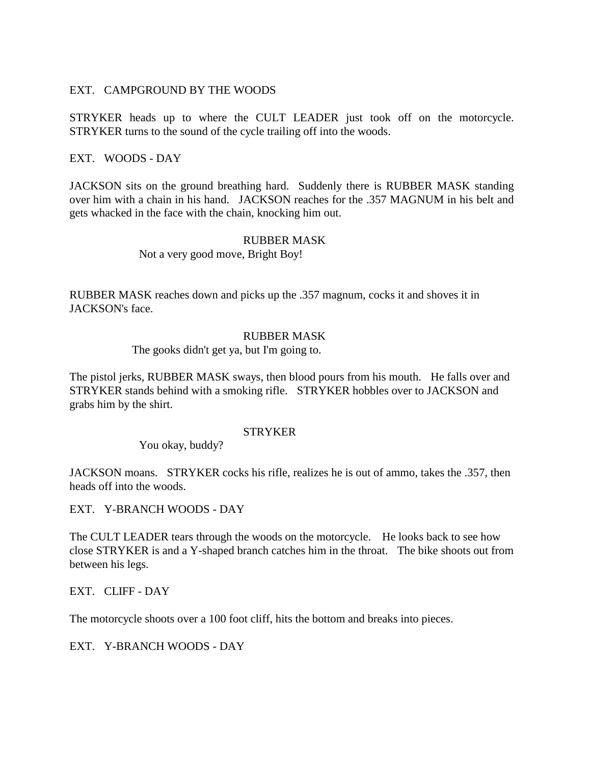## EXT. CAMPGROUND BY THE WOODS

STRYKER heads up to where the CULT LEADER just took off on the motorcycle. STRYKER turns to the sound of the cycle trailing off into the woods.

## EXT. WOODS - DAY

JACKSON sits on the ground breathing hard. Suddenly there is RUBBER MASK standing over him with a chain in his hand. JACKSON reaches for the .357 MAGNUM in his belt and gets whacked in the face with the chain, knocking him out.

## RUBBER MASK

Not a very good move, Bright Boy!

RUBBER MASK reaches down and picks up the .357 magnum, cocks it and shoves it in JACKSON's face.

## RUBBER MASK

The gooks didn't get ya, but I'm going to.

The pistol jerks, RUBBER MASK sways, then blood pours from his mouth. He falls over and STRYKER stands behind with a smoking rifle. STRYKER hobbles over to JACKSON and grabs him by the shirt.

## **STRYKER**

You okay, buddy?

JACKSON moans. STRYKER cocks his rifle, realizes he is out of ammo, takes the .357, then heads off into the woods.

EXT. Y-BRANCH WOODS - DAY

The CULT LEADER tears through the woods on the motorcycle. He looks back to see how close STRYKER is and a Y-shaped branch catches him in the throat. The bike shoots out from between his legs.

EXT. CLIFF - DAY

The motorcycle shoots over a 100 foot cliff, hits the bottom and breaks into pieces.

EXT. Y-BRANCH WOODS - DAY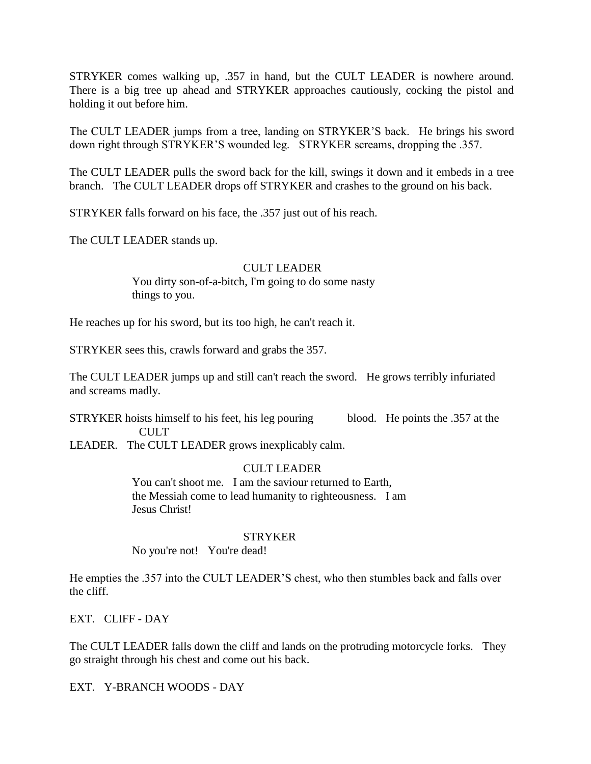STRYKER comes walking up, .357 in hand, but the CULT LEADER is nowhere around. There is a big tree up ahead and STRYKER approaches cautiously, cocking the pistol and holding it out before him.

The CULT LEADER jumps from a tree, landing on STRYKER'S back. He brings his sword down right through STRYKER'S wounded leg. STRYKER screams, dropping the .357.

The CULT LEADER pulls the sword back for the kill, swings it down and it embeds in a tree branch. The CULT LEADER drops off STRYKER and crashes to the ground on his back.

STRYKER falls forward on his face, the .357 just out of his reach.

The CULT LEADER stands up.

## CULT LEADER

You dirty son-of-a-bitch, I'm going to do some nasty things to you.

He reaches up for his sword, but its too high, he can't reach it.

STRYKER sees this, crawls forward and grabs the 357.

The CULT LEADER jumps up and still can't reach the sword. He grows terribly infuriated and screams madly.

STRYKER hoists himself to his feet, his leg pouring blood. He points the .357 at the **CULT** 

LEADER. The CULT LEADER grows inexplicably calm.

## CULT LEADER

You can't shoot me. I am the saviour returned to Earth, the Messiah come to lead humanity to righteousness. I am Jesus Christ!

## **STRYKER**

No you're not! You're dead!

He empties the .357 into the CULT LEADER'S chest, who then stumbles back and falls over the cliff.

EXT. CLIFF - DAY

The CULT LEADER falls down the cliff and lands on the protruding motorcycle forks. They go straight through his chest and come out his back.

EXT. Y-BRANCH WOODS - DAY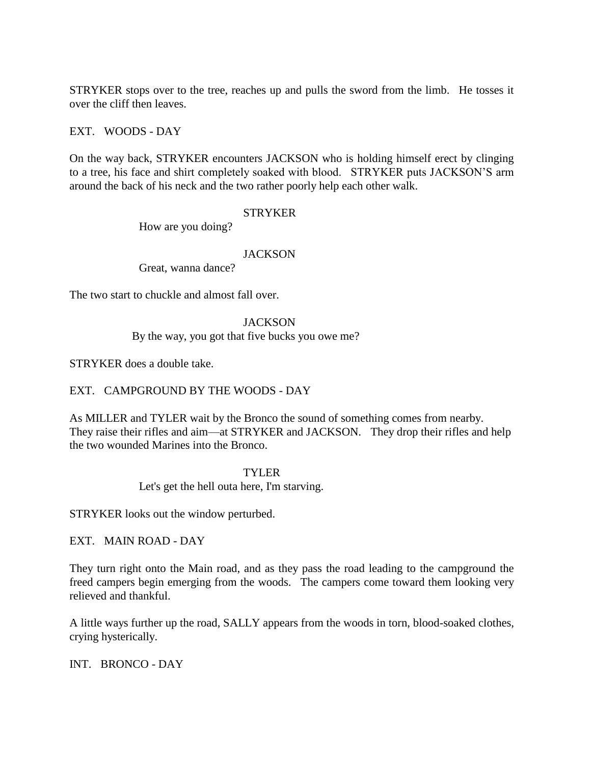STRYKER stops over to the tree, reaches up and pulls the sword from the limb. He tosses it over the cliff then leaves.

## EXT. WOODS - DAY

On the way back, STRYKER encounters JACKSON who is holding himself erect by clinging to a tree, his face and shirt completely soaked with blood. STRYKER puts JACKSON'S arm around the back of his neck and the two rather poorly help each other walk.

## **STRYKER**

How are you doing?

## **JACKSON**

Great, wanna dance?

The two start to chuckle and almost fall over.

## **JACKSON**

By the way, you got that five bucks you owe me?

STRYKER does a double take.

EXT. CAMPGROUND BY THE WOODS - DAY

As MILLER and TYLER wait by the Bronco the sound of something comes from nearby. They raise their rifles and aim—at STRYKER and JACKSON. They drop their rifles and help the two wounded Marines into the Bronco.

## TYLER

Let's get the hell outa here, I'm starving.

STRYKER looks out the window perturbed.

EXT. MAIN ROAD - DAY

They turn right onto the Main road, and as they pass the road leading to the campground the freed campers begin emerging from the woods. The campers come toward them looking very relieved and thankful.

A little ways further up the road, SALLY appears from the woods in torn, blood-soaked clothes, crying hysterically.

INT. BRONCO - DAY